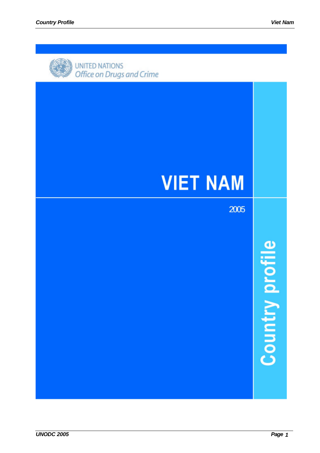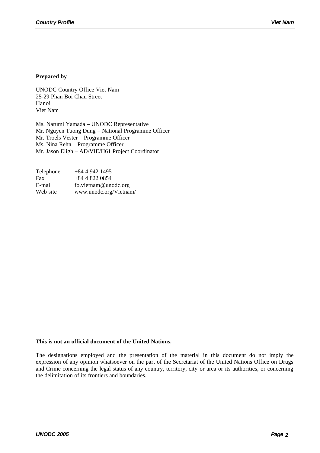## **Prepared by**

UNODC Country Office Viet Nam 25-29 Phan Boi Chau Street Hanoi Viet Nam

Ms. Narumi Yamada – UNODC Representative Mr. Nguyen Tuong Dung – National Programme Officer Mr. Troels Vester – Programme Officer Ms. Nina Rehn – Programme Officer Mr. Jason Eligh – AD/VIE/H61 Project Coordinator

| Telephone | $+8449421495$          |
|-----------|------------------------|
| Fax       | $+8448220854$          |
| E-mail    | fo.vietnam@unodc.org   |
| Web site  | www.unodc.org/Vietnam/ |

## **This is not an official document of the United Nations.**

The designations employed and the presentation of the material in this document do not imply the expression of any opinion whatsoever on the part of the Secretariat of the United Nations Office on Drugs and Crime concerning the legal status of any country, territory, city or area or its authorities, or concerning the delimitation of its frontiers and boundaries.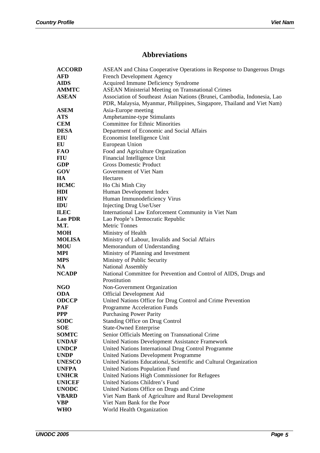# **Abbreviations**

| <b>ACCORD</b>    | ASEAN and China Cooperative Operations in Response to Dangerous Drugs                                                                              |
|------------------|----------------------------------------------------------------------------------------------------------------------------------------------------|
| <b>AFD</b>       | French Development Agency                                                                                                                          |
| <b>AIDS</b>      | Acquired Immune Deficiency Syndrome                                                                                                                |
| <b>AMMTC</b>     | <b>ASEAN Ministerial Meeting on Transnational Crimes</b>                                                                                           |
| <b>ASEAN</b>     | Association of Southeast Asian Nations (Brunei, Cambodia, Indonesia, Lao<br>PDR, Malaysia, Myanmar, Philippines, Singapore, Thailand and Viet Nam) |
| <b>ASEM</b>      | Asia-Europe meeting                                                                                                                                |
| <b>ATS</b>       | Amphetamine-type Stimulants                                                                                                                        |
| <b>CEM</b>       | <b>Committee for Ethnic Minorities</b>                                                                                                             |
| <b>DESA</b>      | Department of Economic and Social Affairs                                                                                                          |
| <b>EIU</b>       | Economist Intelligence Unit                                                                                                                        |
| EU               | European Union                                                                                                                                     |
| <b>FAO</b>       | Food and Agriculture Organization                                                                                                                  |
| FIU              | Financial Intelligence Unit                                                                                                                        |
| <b>GDP</b>       | <b>Gross Domestic Product</b>                                                                                                                      |
| GOV              | Government of Viet Nam                                                                                                                             |
| HA               | Hectares                                                                                                                                           |
| <b>HCMC</b>      | Ho Chi Minh City                                                                                                                                   |
| <b>HDI</b>       | Human Development Index                                                                                                                            |
| <b>HIV</b>       | Human Immunodeficiency Virus                                                                                                                       |
| IDU              | <b>Injecting Drug Use/User</b>                                                                                                                     |
| <b>ILEC</b>      | International Law Enforcement Community in Viet Nam                                                                                                |
| <b>Lao PDR</b>   | Lao People's Democratic Republic                                                                                                                   |
| M.T.             | <b>Metric Tonnes</b>                                                                                                                               |
| <b>MOH</b>       | Ministry of Health                                                                                                                                 |
| <b>MOLISA</b>    | Ministry of Labour, Invalids and Social Affairs                                                                                                    |
| <b>MOU</b>       | Memorandum of Understanding                                                                                                                        |
| MPI              | Ministry of Planning and Investment                                                                                                                |
| <b>MPS</b><br>NA | Ministry of Public Security                                                                                                                        |
| <b>NCADP</b>     | National Assembly                                                                                                                                  |
|                  | National Committee for Prevention and Control of AIDS, Drugs and<br>Prostitution                                                                   |
| <b>NGO</b>       | Non-Government Organization                                                                                                                        |
| <b>ODA</b>       | Official Development Aid                                                                                                                           |
| <b>ODCCP</b>     | United Nations Office for Drug Control and Crime Prevention                                                                                        |
| <b>PAF</b>       | Programme Acceleration Funds                                                                                                                       |
| <b>PPP</b>       | <b>Purchasing Power Parity</b>                                                                                                                     |
| <b>SODC</b>      | Standing Office on Drug Control                                                                                                                    |
| <b>SOE</b>       | <b>State-Owned Enterprise</b>                                                                                                                      |
| <b>SOMTC</b>     | Senior Officials Meeting on Transnational Crime                                                                                                    |
| <b>UNDAF</b>     | United Nations Development Assistance Framework                                                                                                    |
| <b>UNDCP</b>     | United Nations International Drug Control Programme                                                                                                |
| <b>UNDP</b>      | United Nations Development Programme                                                                                                               |
| <b>UNESCO</b>    | United Nations Educational, Scientific and Cultural Organization                                                                                   |
| <b>UNFPA</b>     | United Nations Population Fund                                                                                                                     |
| <b>UNHCR</b>     | United Nations High Commissioner for Refugees                                                                                                      |
| <b>UNICEF</b>    | United Nations Children's Fund                                                                                                                     |
| <b>UNODC</b>     | United Nations Office on Drugs and Crime                                                                                                           |
| <b>VBARD</b>     | Viet Nam Bank of Agriculture and Rural Development                                                                                                 |
| <b>VBP</b>       | Viet Nam Bank for the Poor                                                                                                                         |
| WHO              | World Health Organization                                                                                                                          |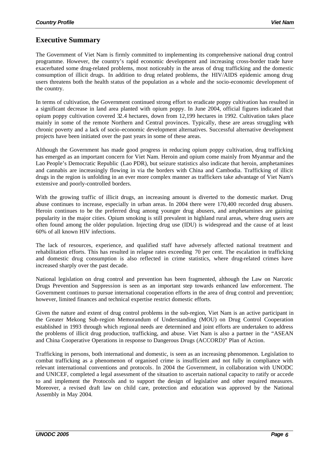## **Executive Summary**

The Government of Viet Nam is firmly committed to implementing its comprehensive national drug control programme. However, the country's rapid economic development and increasing cross-border trade have exacerbated some drug-related problems, most noticeably in the areas of drug trafficking and the domestic consumption of illicit drugs. In addition to drug related problems, the HIV/AIDS epidemic among drug users threatens both the health status of the population as a whole and the socio-economic development of the country.

In terms of cultivation, the Government continued strong effort to eradicate poppy cultivation has resulted in a significant decrease in land area planted with opium poppy. In June 2004, official figures indicated that opium poppy cultivation covered 32.4 hectares, down from 12,199 hectares in 1992. Cultivation takes place mainly in some of the remote Northern and Central provinces. Typically, these are areas struggling with chronic poverty and a lack of socio-economic development alternatives. Successful alternative development projects have been initiated over the past years in some of these areas.

Although the Government has made good progress in reducing opium poppy cultivation, drug trafficking has emerged as an important concern for Viet Nam. Heroin and opium come mainly from Myanmar and the Lao People's Democratic Republic (Lao PDR), but seizure statistics also indicate that heroin, amphetamines and cannabis are increasingly flowing in via the borders with China and Cambodia. Trafficking of illicit drugs in the region is unfolding in an ever more complex manner as traffickers take advantage of Viet Nam's extensive and poorly-controlled borders.

With the growing traffic of illicit drugs, an increasing amount is diverted to the domestic market. Drug abuse continues to increase, especially in urban areas. In 2004 there were 170,400 recorded drug abusers. Heroin continues to be the preferred drug among younger drug abusers, and amphetamines are gaining popularity in the major cities. Opium smoking is still prevalent in highland rural areas, where drug users are often found among the older population. Injecting drug use (IDU) is widespread and the cause of at least 60% of all known HIV infections.

The lack of resources, experience, and qualified staff have adversely affected national treatment and rehabilitation efforts. This has resulted in relapse rates exceeding 70 per cent. The escalation in trafficking and domestic drug consumption is also reflected in crime statistics, where drug-related crimes have increased sharply over the past decade.

National legislation on drug control and prevention has been fragmented, although the Law on Narcotic Drugs Prevention and Suppression is seen as an important step towards enhanced law enforcement. The Government continues to pursue international cooperation efforts in the area of drug control and prevention; however, limited finances and technical expertise restrict domestic efforts.

Given the nature and extent of drug control problems in the sub-region, Viet Nam is an active participant in the Greater Mekong Sub-region Memorandum of Understanding (MOU) on Drug Control Cooperation established in 1993 through which regional needs are determined and joint efforts are undertaken to address the problems of illicit drug production, trafficking, and abuse. Viet Nam is also a partner in the "ASEAN and China Cooperative Operations in response to Dangerous Drugs (ACCORD)" Plan of Action.

Trafficking in persons, both international and domestic, is seen as an increasing phenomenon. Legislation to combat trafficking as a phenomenon of organised crime is insufficient and not fully in compliance with relevant international conventions and protocols. In 2004 the Government, in collaboration with UNODC and UNICEF, completed a legal assessment of the situation to ascertain national capacity to ratify or accede to and implement the Protocols and to support the design of legislative and other required measures. Moreover, a revised draft law on child care, protection and education was approved by the National Assembly in May 2004.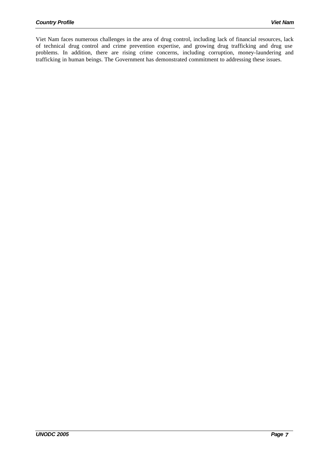Viet Nam faces numerous challenges in the area of drug control, including lack of financial resources, lack of technical drug control and crime prevention expertise, and growing drug trafficking and drug use problems. In addition, there are rising crime concerns, including corruption, money-laundering and trafficking in human beings. The Government has demonstrated commitment to addressing these issues.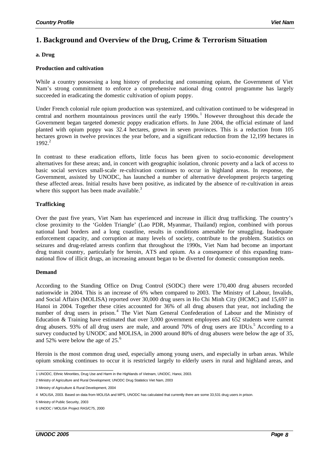## **1. Background and Overview of the Drug, Crime & Terrorism Situation**

## **a. Drug**

### **Production and cultivation**

While a country possessing a long history of producing and consuming opium, the Government of Viet Nam's strong commitment to enforce a comprehensive national drug control programme has largely succeeded in eradicating the domestic cultivation of opium poppy.

Under French colonial rule opium production was systemized, and cultivation continued to be widespread in central and northern mountainous provinces until the early  $1990s$ .<sup>1</sup> However throughout this decade the Government began targeted domestic poppy eradication efforts. In June 2004, the official estimate of land planted with opium poppy was 32.4 hectares, grown in seven provinces. This is a reduction from 105 hectares grown in twelve provinces the year before, and a significant reduction from the 12,199 hectares in 1992<sup>2</sup>

In contrast to these eradication efforts, little focus has been given to socio-economic development alternatives for these areas; and, in concert with geographic isolation, chronic poverty and a lack of access to basic social services small-scale re-cultivation continues to occur in highland areas. In response, the Government, assisted by UNODC, has launched a number of alternative development projects targeting these affected areas. Initial results have been positive, as indicated by the absence of re-cultivation in areas where this support has been made available. $3$ 

## **Trafficking**

Over the past five years, Viet Nam has experienced and increase in illicit drug trafficking. The country's close proximity to the 'Golden Triangle' (Lao PDR, Myanmar, Thailand) region, combined with porous national land borders and a long coastline, results in conditions amenable for smuggling. Inadequate enforcement capacity, and corruption at many levels of society, contribute to the problem. Statistics on seizures and drug-related arrests confirm that throughout the 1990s, Viet Nam had become an important drug transit country, particularly for heroin, ATS and opium. As a consequence of this expanding transnational flow of illicit drugs, an increasing amount began to be diverted for domestic consumption needs.

## **Demand**

According to the Standing Office on Drug Control (SODC) there were 170,400 drug abusers recorded nationwide in 2004. This is an increase of 6% when compared to 2003. The Ministry of Labour, Invalids, and Social Affairs (MOLISA) reported over 30,000 drug users in Ho Chi Minh City (HCMC) and 15,697 in Hanoi in 2004. Together these cities accounted for 36% of all drug abusers that year, not including the number of drug users in prison.<sup>4</sup> The Viet Nam General Confederation of Labour and the Ministry of Education & Training have estimated that over 3,000 government employees and 652 students were current drug abusers. 93% of all drug users are male, and around 70% of drug users are IDUs.<sup>5</sup> According to a survey conducted by UNODC and MOLISA, in 2000 around 80% of drug abusers were below the age of 35, and 52% were below the age of 25.<sup>6</sup>

Heroin is the most common drug used, especially among young users, and especially in urban areas. While opium smoking continues to occur it is restricted largely to elderly users in rural and highland areas, and

 1 UNODC, Ethnic Minorities, Drug Use and Harm in the Highlands of Vietnam, UNODC, Hanoi, 2003.

<sup>2</sup> Ministry of Agriculture and Rural Development; UNODC Drug Statistics Viet Nam, 2003

<sup>3</sup> Ministry of Agriculture & Rural Development, 2004

<sup>4</sup> MOLISA, 2003. Based on data from MOLISA and MPS, UNODC has calculated that currently there are some 33,531 drug users in prison.

<sup>5</sup> Ministry of Public Security, 2003

<sup>6</sup> UNODC / MOLISA Project RAS/C75, 2000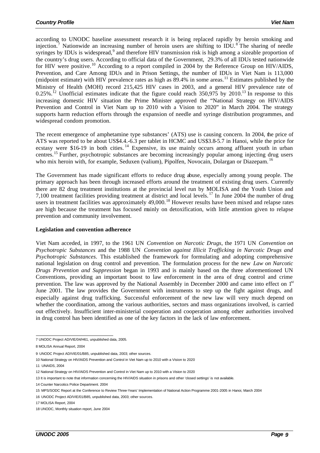according to UNODC baseline assessment research it is being replaced rapidly by heroin smoking and injection.<sup>7</sup> Nationwide an increasing number of heroin users are shifting to IDU.<sup>8</sup> The sharing of needle syringes by IDUs is widespread,<sup>9</sup> and therefore HIV transmission risk is high among a sizeable proportion of the country's drug users. According to official data of the Government, 29.3% of all IDUs tested nationwide for HIV were positive.<sup>10</sup> According to a report compiled in 2004 by the Reference Group on HIV/AIDS, Prevention, and Care Among IDUs and in Prison Settings, the number of IDUs in Viet Nam is 113,000 (midpoint estimate) with HIV prevalence rates as high as  $89.4\%$  in some areas.<sup>11</sup> Estimates published by the Ministry of Health (MOH) record 215,425 HIV cases in 2003, and a general HIV prevalence rate of 0.25%.<sup>12</sup> Unofficial estimates indicate that the figure could reach  $350,975$  by  $2010$ .<sup>13</sup> In response to this increasing domestic HIV situation the Prime Minister approved the "National Strategy on HIV/AIDS Prevention and Control in Viet Nam up to 2010 with a Vision to 2020" in March 2004. The strategy supports harm reduction efforts through the expansion of needle and syringe distribution programmes, and widespread condom promotion.

The recent emergence of amphetamine type substances' (ATS) use is causing concern. In 2004, the price of ATS was reported to be about US\$4.4.-6.3 per tablet in HCMC and US\$3.8-5.7 in Hanoi, while the price for ecstasy were \$16-19 in both cities.<sup>14</sup> Expensive, its use mainly occurs among affluent youth in urban centres.<sup>15</sup> Further, psychotropic substances are becoming increasingly popular among injecting drug users who mix heroin with, for example, Seduxen (valium), Pipolfen, Novocain, Dolargan or Diazepam. <sup>16</sup>

The Government has made significant efforts to reduce drug abuse, especially among young people. The primary approach has been through increased efforts around the treatment of existing drug users. Currently there are 82 drug treatment institutions at the provincial level run by MOLISA and the Youth Union and 7,100 treatment facilities providing treatment at district and local levels.<sup>17</sup> In June 2004 the number of drug users in treatment facilities was approximately 49,000.<sup>18</sup> However results have been mixed and relapse rates are high because the treatment has focused mainly on detoxification, with little attention given to relapse prevention and community involvement.

#### **Legislation and convention adherence**

Viet Nam acceded, in 1997, to the 1961 UN *Convention on Narcotic Drugs*, the 1971 UN *Convention on Psychotropic Substances* and the 1988 UN *Convention against Illicit Trafficking in Narcotic Drugs and Psychotropic Substances*. This established the framework for formulating and adopting comprehensive national legislation on drug control and prevention. The formulation process for the new *Law on Narcotic Drugs Prevention and Suppression* began in 1993 and is mainly based on the three aforementioned UN Conventions, providing an important boost to law enforcement in the area of drug control and crime prevention. The law was approved by the National Assembly in December 2000 and came into effect on 1<sup>st</sup> June 2001. The law provides the Government with instruments to step up the fight against drugs, and especially against drug trafficking. Successful enforcement of the new law will very much depend on whether the coordination, among the various authorities, sectors and mass organizations involved, is carried out effectively. Insufficient inter-ministerial cooperation and cooperation among other authorities involved in drug control has been identified as one of the key factors in the lack of law enforcement.

 7 UNODC Project AD/VIE/04/H61, unpublished data, 2005.

<sup>8</sup> MOLISA Annual Report, 2004

<sup>9</sup> UNODC Project AD/VIE/01/B85, unpublished data, 2003; other sources.

<sup>10</sup> National Strategy on HIV/AIDS Prevention and Control in Viet Nam up to 2010 with a Vision to 2020

<sup>11</sup> UNAIDS, 2004

<sup>12</sup> National Strategy on HIV/AIDS Prevention and Control in Viet Nam up to 2010 with a Vision to 2020

<sup>13</sup> It is important to note that information concerning the HIV/AIDS situation in prisons and other 'closed settings' is not available.

<sup>14</sup> Counter Narcotics Police Department. 2004

<sup>15</sup> MPS/SODC Report at the Conference to Review Three-Years' Implementation of National Action Programme 2001-2005 in Hanoi, March 2004

<sup>16</sup> UNODC Project AD/VIE/01/B85, unpublished data, 2003; other sources.

<sup>17</sup> MOLISA Report, 2004

<sup>18</sup> UNODC, Monthly situation report, June 2004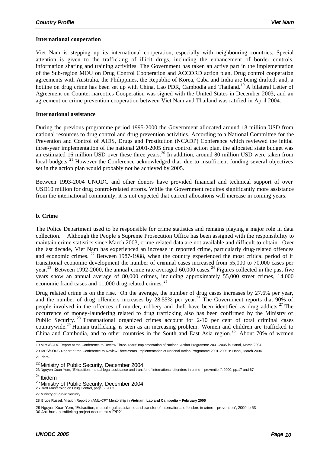#### **International cooperation**

Viet Nam is stepping up its international cooperation, especially with neighbouring countries. Special attention is given to the trafficking of illicit drugs, including the enhancement of border controls, information sharing and training activities. The Government has taken an active part in the implementation of the Sub-region MOU on Drug Control Cooperation and ACCORD action plan. Drug control cooperation agreements with Australia, the Philippines, the Republic of Korea, Cuba and India are being drafted; and, a hotline on drug crime has been set up with China, Lao PDR, Cambodia and Thailand.<sup>19</sup> A bilateral Letter of Agreement on Counter-narcotics Cooperation was signed with the United States in December 2003; and an agreement on crime prevention cooperation between Viet Nam and Thailand was ratified in April 2004.

#### **International assistance**

During the previous programme period 1995-2000 the Government allocated around 18 million USD from national resources to drug control and drug prevention activities. According to a National Committee for the Prevention and Control of AIDS, Drugs and Prostitution (NCADP) Conference which reviewed the initial three-year implementation of the national 2001-2005 drug control action plan, the allocated state budget was an estimated 16 million USD over these three years.<sup>20</sup> In addition, around 80 million USD were taken from local budgets.<sup>21</sup> However the Conference acknowledged that due to insufficient funding several objectives set in the action plan would probably not be achieved by 2005.

Between 1993-2004 UNODC and other donors have provided financial and technical support of over USD10 million for drug control-related efforts. While the Government requires significantly more assistance from the international community, it is not expected that current allocations will increase in coming years.

#### **b. Crime**

The Police Department used to be responsible for crime statistics and remains playing a major role in data collection. Although the People's Supreme Prosecution Office has been assigned with the responsibility to maintain crime statistics since March 2003, crime related data are not available and difficult to obtain. Over the last decade, Viet Nam has experienced an increase in reported crime, particularly drug-related offences and economic crimes. <sup>22</sup> Between 1987-1988, when the country experienced the most critical period of it transitional economic development the number of criminal cases increased from 55,000 to 70,000 cases per year.<sup>23</sup> Between 1992-2000, the annual crime rate averaged 60,000 cases.<sup>24</sup> Figures collected in the past five years show an annual average of 80,000 crimes, including approximately 55,000 street crimes, 14,000 economic fraud cases and 11,000 drug-related crimes. <sup>25</sup>

Drug related crime is on the rise. On the average, the number of drug cases increases by 27.6% per year, and the number of drug offenders increases by 28.55% per year.<sup>26</sup> The Government reports that 90% of people involved in the offences of murder, robbery and theft have been identified as drug addicts.<sup>27</sup> The occurrence of money-laundering related to drug trafficking also has been confirmed by the Ministry of Public Security. <sup>28</sup> Transnational organized crimes account for 2-10 per cent of total criminal cases countrywide.<sup>29</sup> Human trafficking is seen as an increasing problem. Women and children are trafficked to China and Cambodia, and to other countries in the South and East Asia region.<sup>30</sup> About 70% of women

20 MPS/SODC Report at the Conference to Review Three-Years' Implementation of National Action Programme 2001-2005 in Hanoi, March 2004 21 Idem

 19 MPS/SODC Report at the Conference to Review Three-Years' Implementation of National Action Programme 2001-2005 in Hanoi, March 2004

<sup>&</sup>lt;sup>22</sup> Ministry of Public Security, December 2004

<sup>23</sup> Nguyen Xuan Yem, "Extradition, mutual legal assistance and transfer of international offenders in crime prevention", 2000, pp.17 and 67.

<sup>24</sup> Ibidem

<sup>&</sup>lt;sup>25</sup> Ministry of Public Security, December 2004<br><sub>26 Draft Masterplan on Drug Control, page 6, 2003</sub>

<sup>27</sup> Ministry of Public Security

<sup>28</sup> Bruce Russel, Mission Report on AML-CFT Mentorship in **Vietnam, Lao and Cambodia – February 2005**

<sup>29</sup> Nguyen Xuan Yem, "Extradition, mutual legal assistance and transfer of international offenders in crime prevention", 2000, p.53 30 Anti-human trafficking project document VIE/R21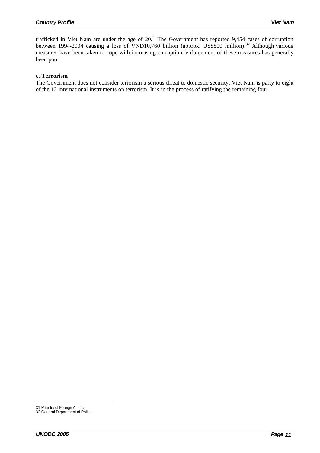trafficked in Viet Nam are under the age of  $20<sup>31</sup>$  The Government has reported 9,454 cases of corruption between 1994-2004 causing a loss of VND10,760 billion (approx. US\$800 million).<sup>32</sup> Although various measures have been taken to cope with increasing corruption, enforcement of these measures has generally been poor.

#### **c. Terrorism**

The Government does not consider terrorism a serious threat to domestic security. Viet Nam is party to eight of the 12 international instruments on terrorism. It is in the process of ratifying the remaining four.

l 31 Ministry of Foreign Affairs

<sup>32</sup> General Department of Police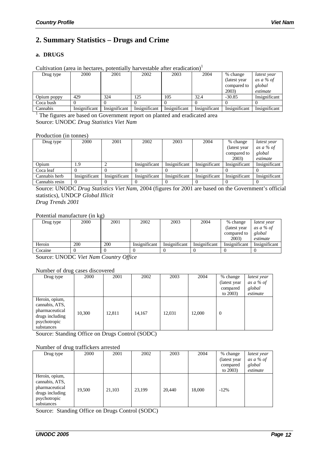## **2. Summary Statistics – Drugs and Crime**

#### **a. DRUGS**

| Can randii varda in nodan obl boldinan |               |               |               | <u>na venande anen enameanni</u> |               |               |               |
|----------------------------------------|---------------|---------------|---------------|----------------------------------|---------------|---------------|---------------|
| Drug type                              | 2000          | 2001          | 2002          | 2003                             | 2004          | % change      | latest year   |
|                                        |               |               |               |                                  |               | (latest year) | as a % of     |
|                                        |               |               |               |                                  |               | compared to   | global        |
|                                        |               |               |               |                                  |               | 2003)         | estimate      |
| Opium poppy                            | 429           | 324           | 125           | 105                              | 32.4          | $-30.85$      | Insignificant |
| Coca bush                              |               |               |               |                                  |               |               |               |
| Cannabis                               | Insignificant | Insignificant | Insignificant | Insignificant                    | Insignificant | Insignificant | Insignificant |

Cultivation (area in hectares, potentially harvestable after eradication)<sup>1</sup>

<sup>1</sup> The figures are based on Government report on planted and eradicated area Source: UNODC *Drug Statistics Viet Nam*

Production (in tonnes)

| Drug type      | 2000          | 2001          | 2002          | 2003          | 2004          | % change      | latest year   |
|----------------|---------------|---------------|---------------|---------------|---------------|---------------|---------------|
|                |               |               |               |               |               | (latest year) | as a $%$ of   |
|                |               |               |               |               |               | compared to   | global        |
|                |               |               |               |               |               | 2003)         | estimate      |
| Opium          | ر،            |               | Insignificant | Insignificant | Insignificant | Insignificant | Insignificant |
| Coca leaf      |               |               |               |               |               |               |               |
| Cannabis herb  | Insignificant | Insignificant | Insignificant | Insignificant | Insignificant | Insignificant | Insignificant |
| Cannabis resin |               |               |               |               |               |               |               |

Source: UNODC *Drug Statistics Viet Nam*, 2004 (figures for 2001 are based on the Government's official statistics), UNDCP *Global Illicit* 

*Drug Trends 2001*

Potential manufacture (in kg)

| Drug type | 2000 | 2001 | 2002          | 2003          | 2004          | % change      | latest year   |
|-----------|------|------|---------------|---------------|---------------|---------------|---------------|
|           |      |      |               |               |               | (latest year) | as a % of     |
|           |      |      |               |               |               | compared to   | global        |
|           |      |      |               |               |               | 2003)         | estimate      |
| Heroin    | 200  | 200  | Insignificant | Insignificant | Insignificant | Insignificant | Insignificant |
| Cocaine   |      |      |               |               |               |               |               |

Source: UNODC *Viet Nam Country Office*

Number of drug cases discovered

| Drug type                                                                                           | 2000   | 2001   | 2002   | 2003   | 2004   | % change       | latest year |
|-----------------------------------------------------------------------------------------------------|--------|--------|--------|--------|--------|----------------|-------------|
|                                                                                                     |        |        |        |        |        | (latest year)  | as a % of   |
|                                                                                                     |        |        |        |        |        | compared       | global      |
|                                                                                                     |        |        |        |        |        | to $2003$      | estimate    |
| Heroin, opium,<br>cannabis, ATS,<br>pharmaceutical<br>drugs including<br>psychotropic<br>substances | 10,300 | 12.811 | 14,167 | 12,031 | 12,000 | $\overline{0}$ |             |

Source: Standing Office on Drugs Control (SODC)

#### Number of drug traffickers arrested

| Drug type                                                                                           | 2000   | 2001   | 2002   | 2003   | 2004   | % change     | latest year |
|-----------------------------------------------------------------------------------------------------|--------|--------|--------|--------|--------|--------------|-------------|
|                                                                                                     |        |        |        |        |        | (latest year | as a % of   |
|                                                                                                     |        |        |        |        |        | compared     | global      |
|                                                                                                     |        |        |        |        |        | to $2003$    | estimate    |
| Heroin, opium,<br>cannabis, ATS,<br>pharmaceutical<br>drugs including<br>psychotropic<br>substances | 19,500 | 21,103 | 23,199 | 20,440 | 18,000 | $-12\%$      |             |

Source: Standing Office on Drugs Control (SODC)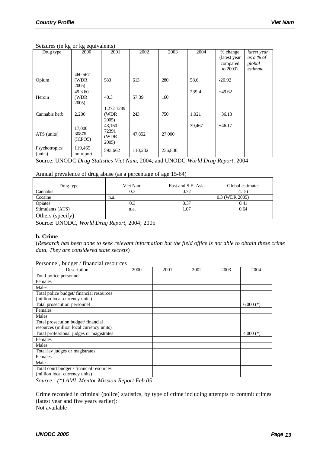#### Seizures (in kg or kg equivalents)

| Drug type                | 2000                       | 2001                              | 2002    | 2003    | 2004   | % change<br>(latest year)<br>compared<br>to $2003$ ) | latest year<br>as a % of<br>global<br>estimate |
|--------------------------|----------------------------|-----------------------------------|---------|---------|--------|------------------------------------------------------|------------------------------------------------|
| Opium                    | 460 567<br>(WDR)<br>2005)  | 583                               | 613     | 280     | 58.6   | $-20.92$                                             |                                                |
| Heroin                   | 49.3 60<br>(WDR<br>2005    | 40.3                              | 57.39   | 160     | 239.4  | $+49.62$                                             |                                                |
| Cannabis herb            | 2,200                      | 1,272 1289<br>(WDR)<br>2005       | 243     | 750     | 1,021  | $+36.13$                                             |                                                |
| ATS (units)              | 17,000<br>30876<br>(ICPO5) | 43,160<br>72391<br>(WDR)<br>2005) | 47,852  | 27,000  | 39,467 | $+46.17$                                             |                                                |
| Psychotropics<br>(units) | 119,465<br>no report       | 593,662                           | 110,232 | 236,830 |        |                                                      |                                                |

Source: UNODC *Drug Statistics Viet Nam*, 2004; and UNODC *World Drug Report*, 2004

#### Annual prevalence of drug abuse (as a percentage of age 15-64)

| Drug type        | Viet Nam | East and S.E. Asia | Global estimates |
|------------------|----------|--------------------|------------------|
| Cannabis         | 0.3      | 0.72               | 4.15)            |
| Cocaine          | n.a.     |                    | 0.3 (WDR 2005)   |
| Opiates          |          | 0.37               | 0.41             |
| Stimulants (ATS) | n.a.     | l.07               | 0.64             |
| Others (specify) |          |                    |                  |

Source: UNODC, *World Drug Report*, 2004; 2005

#### **b. Crime**

(*Research has been done to seek relevant information but the field office is not able to obtain these crime data. They are considered state secrets*)

#### Personnel, budget / financial resources

| Description                              | 2000 | 2001 | 2002 | 2003 | 2004        |
|------------------------------------------|------|------|------|------|-------------|
| Total police personnel                   |      |      |      |      |             |
| Females                                  |      |      |      |      |             |
| Males                                    |      |      |      |      |             |
| Total police budget/financial resources  |      |      |      |      |             |
| (million local currency units)           |      |      |      |      |             |
| Total prosecution personnel              |      |      |      |      | $6,000$ (*) |
| Females                                  |      |      |      |      |             |
| Males                                    |      |      |      |      |             |
| Total prosecution budget/financial       |      |      |      |      |             |
| resources (million local currency units) |      |      |      |      |             |
| Total professional judges or magistrates |      |      |      |      | 4,000 $(*)$ |
| Females                                  |      |      |      |      |             |
| Males                                    |      |      |      |      |             |
| Total lay judges or magistrates          |      |      |      |      |             |
| Females                                  |      |      |      |      |             |
| Males                                    |      |      |      |      |             |
| Total court budget / financial resources |      |      |      |      |             |
| (million local currency units)           |      |      |      |      |             |

*Source: (\*) AML Mentor Mission Report Feb.05*

Crime recorded in criminal (police) statistics, by type of crime including attempts to commit crimes (latest year and five years earlier): Not available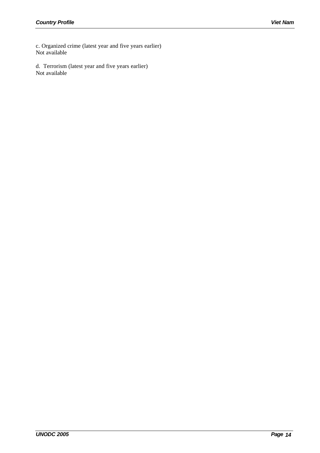c. Organized crime (latest year and five years earlier) Not available

d. Terrorism (latest year and five years earlier) Not available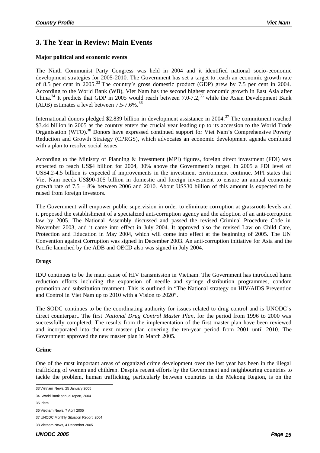# **3. The Year in Review: Main Events**

### **Major political and economic events**

The Ninth Communist Party Congress was held in 2004 and it identified national socio-economic development strategies for 2005-2010. The Government has set a target to reach an economic growth rate of 8.5 per cent in 2005.<sup>33</sup> The country's gross domestic product (GDP) grew by 7.5 per cent in 2004. According to the World Bank (WB), Viet Nam has the second highest economic growth in East Asia after China.<sup>34</sup> It predicts that GDP in 2005 would reach between  $7.0-7.2$ ,<sup>35</sup> while the Asian Development Bank (ADB) estimates a level between  $7.5-7.6\%$ .<sup>36</sup>

International donors pledged \$2.839 billion in development assistance in 2004.<sup>37</sup> The commitment reached \$3.44 billion in 2005 as the country enters the crucial year leading up to its accession to the World Trade Organisation (WTO).<sup>38</sup> Donors have expressed continued support for Viet Nam's Comprehensive Poverty Reduction and Growth Strategy (CPRGS), which advocates an economic development agenda combined with a plan to resolve social issues.

According to the Ministry of Planning & Investment (MPI) figures, foreign direct investment (FDI) was expected to reach US\$4 billion for 2004, 30% above the Government's target. In 2005 a FDI level of US\$4.2-4.5 billion is expected if improvements in the investment environment continue. MPI states that Viet Nam needs US\$90-105 billion in domestic and foreign investment to ensure an annual economic growth rate of 7.5 – 8% between 2006 and 2010. About US\$30 billion of this amount is expected to be raised from foreign investors.

The Government will empower public supervision in order to eliminate corruption at grassroots levels and it proposed the establishment of a specialized anti-corruption agency and the adoption of an anti-corruption law by 2005. The National Assembly discussed and passed the revised Criminal Procedure Code in November 2003, and it came into effect in July 2004. It approved also the revised Law on Child Care, Protection and Education in May 2004, which will come into effect at the beginning of 2005. The UN Convention against Corruption was signed in December 2003. An anti-corruption initiative for Asia and the Pacific launched by the ADB and OECD also was signed in July 2004.

## **Drugs**

IDU continues to be the main cause of HIV transmission in Vietnam. The Government has introduced harm reduction efforts including the expansion of needle and syringe distribution programmes, condom promotion and substitution treatment. This is outlined in "The National strategy on HIV/AIDS Prevention and Control in Viet Nam up to 2010 with a Vision to 2020".

The SODC continues to be the coordinating authority for issues related to drug control and is UNODC's direct counterpart. The first *National Drug Control Master Plan*, for the period from 1996 to 2000 was successfully completed. The results from the implementation of the first master plan have been reviewed and incorporated into the next master plan covering the ten-year period from 2001 until 2010. The Government approved the new master plan in March 2005.

## **Crime**

One of the most important areas of organized crime development over the last year has been in the illegal trafficking of women and children. Despite recent efforts by the Government and neighbouring countries to tackle the problem, human trafficking, particularly between countries in the Mekong Region, is on the

 33 Vietnam News, 25 January 2005

<sup>34</sup> World Bank annual report, 2004

<sup>35</sup> Idem

<sup>36</sup> Vietnam News, 7 April 2005

<sup>37</sup> UNODC Monthly Situation Report, 2004

<sup>38</sup> Vietnam News, 4 December 2005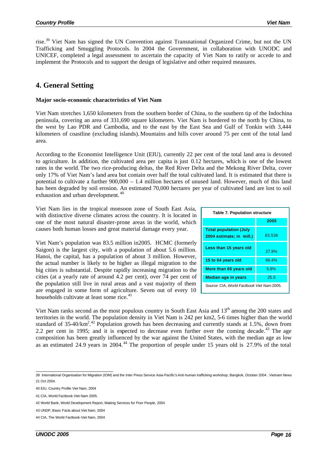rise.<sup>39</sup> Viet Nam has signed the UN Convention against Transnational Organized Crime, but not the UN Trafficking and Smuggling Protocols. In 2004 the Government, in collaboration with UNODC and UNICEF, completed a legal assessment to ascertain the capacity of Viet Nam to ratify or accede to and implement the Protocols and to support the design of legislative and other required measures.

## **4. General Setting**

#### **Major socio-economic characteristics of Viet Nam**

Viet Nam stretches 1,650 kilometers from the southern border of China, to the southern tip of the Indochina peninsula, covering an area of 331,690 square kilometers. Viet Nam is bordered to the north by China, to the west by Lao PDR and Cambodia, and to the east by the East Sea and Gulf of Tonkin with 3,444 kilometers of coastline (excluding islands). Mountains and hills cover around 75 per cent of the total land area.

According to the Economist Intelligence Unit (EIU), currently 22 per cent of the total land area is devoted to agriculture. In addition, the cultivated area per capita is just 0.12 hectares, which is one of the lowest rates in the world. The two rice-producing deltas, the Red River Delta and the Mekong River Delta, cover only 17% of Viet Nam's land area but contain over half the total cultivated land. It is estimated that there is potential to cultivate a further 900,000 – 1.4 million hectares of unused land. However, much of this land has been degraded by soil erosion. An estimated 70,000 hectares per year of cultivated land are lost to soil exhaustion and urban development.<sup>40</sup>

Viet Nam lies in the tropical monsoon zone of South East Asia, with distinctive diverse climates across the country. It is located in one of the most natural disaster-prone areas in the world, which causes both human losses and great material damage every year.

Viet Nam's population was 83.5 million in2005. HCMC (formerly Saigon) is the largest city, with a population of about 5.6 million. Hanoi, the capital, has a population of about 3 million. However, the actual number is likely to be higher as illegal migration to the big cities is substantial. Despite rapidly increasing migration to the cities (at a yearly rate of around 4.2 per cent), over 74 per cent of the population still live in rural areas and a vast majority of them are engaged in some form of agriculture. Seven out of every 10 households cultivate at least some rice.<sup>41</sup>

| <b>Table 7. Population structure</b>                      |        |  |  |  |  |  |
|-----------------------------------------------------------|--------|--|--|--|--|--|
|                                                           | 2005   |  |  |  |  |  |
| <b>Total population (July</b><br>2004 estimate; in mill.) | 83.536 |  |  |  |  |  |
| Less than 15 years old                                    | 27.9%  |  |  |  |  |  |
| 15 to 64 years old                                        | 66.4%  |  |  |  |  |  |
| More than 65 years old                                    | 5.8%   |  |  |  |  |  |
| <b>Median age in years</b>                                | 25.5   |  |  |  |  |  |
| Source: CIA, World Factbook Viet Nam 2005.                |        |  |  |  |  |  |

Viet Nam ranks second as the most populous country in South East Asia and 13<sup>th</sup> among the 200 states and territories in the world. The population density in Viet Nam is 242 per km2, 5-6 times higher than the world standard of 35-40/km<sup>2 42</sup> Population growth has been decreasing and currently stands at 1.5%, down from 2.2 per cent in 1995; and it is expected to decrease even further over the coming decade.<sup>43</sup> The age composition has been greatly influenced by the war against the United States, with the median age as low as an estimated 24.9 years in 2004.<sup>44</sup> The proportion of people under 15 years old is 27.9% of the total

 39 International Organisation for Migration (IOM) and the Inter Press Service Asia-Pacific's Anti-human trafficking workshop, Bangkok, October 2004 , Vietnam News 21 Oct 2004.

<sup>40</sup> EIU, Country Profile Viet Nam, 2004

<sup>41</sup> CIA, World Factbook Viet Nam 2005.

<sup>42</sup> World Bank, World Development Report, Making Services for Poor People, 2004

<sup>43</sup> UNDP, Basic Facts about Viet Nam, 2004

<sup>44</sup> CIA, The World Factbook-Viet Nam, 2004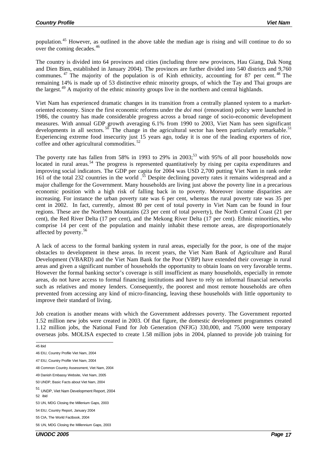population.<sup>45</sup> However, as outlined in the above table the median age is rising and will continue to do so over the coming decades.<sup>46</sup>

The country is divided into 64 provinces and cities (including three new provinces, Hau Giang, Dak Nong and Dien Bien, established in January 2004). The provinces are further divided into 540 districts and 9,760 communes. <sup>47</sup> The majority of the population is of Kinh ethnicity, accounting for 87 per cent. <sup>48</sup> The remaining 14% is made up of 53 distinctive ethnic minority groups, of which the Tay and Thai groups are the largest.<sup>49</sup> A majority of the ethnic minority groups live in the northern and central highlands.

Viet Nam has experienced dramatic changes in its transition from a centrally planned system to a marketoriented economy. Since the first economic reforms under the *doi moi* (renovation) policy were launched in 1986, the country has made considerable progress across a broad range of socio-economic development measures. With annual GDP growth averaging 6.1% from 1990 to 2003, Viet Nam has seen significant developments in all sectors.  $^{50}$  The change in the agricultural sector has been particularly remarkable.<sup>51</sup> Experiencing extreme food insecurity just 15 years ago, today it is one of the leading exporters of rice, coffee and other agricultural commodities. <sup>52</sup>

The poverty rate has fallen from 58% in 1993 to 29% in 2003;<sup>53</sup> with 95% of all poor households now located in rural areas.<sup>54</sup> The progress is represented quantitatively by rising per capita expenditures and improving social indicators. The GDP per capita for 2004 was USD 2,700 putting Viet Nam in rank order 161 of the total 232 countries in the world.<sup>55</sup> Despite declining poverty rates it remains widespread and a major challenge for the Government. Many households are living just above the poverty line in a precarious economic position with a high risk of falling back in to poverty. Moreover income disparities are increasing. For instance the urban poverty rate was 6 per cent, whereas the rural poverty rate was 35 per cent in 2002. In fact, currently, almost 80 per cent of total poverty in Viet Nam can be found in four regions. These are the Northern Mountains (23 per cent of total poverty), the North Central Coast (21 per cent), the Red River Delta (17 per cent), and the Mekong River Delta (17 per cent). Ethnic minorities, who comprise 14 per cent of the population and mainly inhabit these remote areas, are disproportionately affected by poverty.<sup>56</sup>

A lack of access to the formal banking system in rural areas, especially for the poor, is one of the major obstacles to development in these areas. In recent years, the Viet Nam Bank of Agriculture and Rural Development (VBARD) and the Viet Nam Bank for the Poor (VBP) have extended their coverage in rural areas and given a significant number of households the opportunity to obtain loans on very favorable terms. However the formal banking sector's coverage is still insufficient as many households, especially in remote areas, do not have access to formal financing institutions and have to rely on informal financial networks such as relatives and money lenders. Consequently, the poorest and most remote households are often prevented from accessing any kind of micro-financing, leaving these households with little opportunity to improve their standard of living.

Job creation is another means with which the Government addresses poverty. The Government reported 1.52 million new jobs were created in 2003. Of that figure, the domestic development programmes created 1.12 million jobs, the National Fund for Job Generation (NFJG) 330,000, and 75,000 were temporary overseas jobs. MOLISA expected to create 1.58 million jobs in 2004, planned to provide job training for

48 Common Country Assessment, Viet Nam, 2004

 45 ibid

<sup>46</sup> EIU, Country Profile Viet Nam, 2004

<sup>47</sup> EIU, Country Profile Viet Nam, 2004

<sup>49</sup> Danish Embassy Website, Viet Nam, 2005

<sup>50</sup> UNDP, Basic Facts about Viet Nam, 2004

<sup>51</sup> UNDP, Viet Nam Development Report, 2004

<sup>52</sup> ibid

<sup>53</sup> UN, MDG Closing the Millenium Gaps, 2003

<sup>54</sup> EIU, Country Report, January 2004

<sup>55</sup> CIA, The World Factbook, 2004

<sup>56</sup> UN, MDG Closing the Millennium Gaps, 2003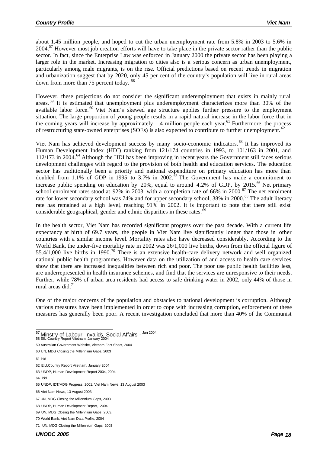about 1.45 million people, and hoped to cut the urban unemployment rate from 5.8% in 2003 to 5.6% in  $2004$ <sup>57</sup> However most job creation efforts will have to take place in the private sector rather than the public sector. In fact, since the Enterprise Law was enforced in January 2000 the private sector has been playing a larger role in the market. Increasing migration to cities also is a serious concern as urban unemployment, particularly among male migrants, is on the rise. Official predictions based on recent trends in migration and urbanization suggest that by 2020, only 45 per cent of the country's population will live in rural areas down from more than 75 percent today. <sup>58</sup>

However, these projections do not consider the significant underemployment that exists in mainly rural areas. <sup>59</sup> It is estimated that unemployment plus underemployment characterizes more than 30% of the available labor force.<sup>60</sup> Viet Nam's skewed age structure applies further pressure to the employment situation. The large proportion of young people results in a rapid natural increase in the labor force that in the coming years will increase by approximately 1.4 million people each year.<sup>61</sup> Furthermore, the process of restructuring state-owned enterprises (SOEs) is also expected to contribute to further unemployment. <sup>62</sup>

Viet Nam has achieved development success by many socio-economic indicators. <sup>63</sup> It has improved its Human Development Index (HDI) ranking from 121/174 countries in 1993, to 101/163 in 2001, and 112/173 in 2004.<sup>64</sup> Although the HDI has been improving in recent years the Government still faces serious development challenges with regard to the provision of both health and education services. The education sector has traditionally been a priority and national expenditure on primary education has more than doubled from 1.1% of GDP in 1995 to 3.7% in 2002.<sup> $\delta$ 5</sup> The Government has made a commitment to increase public spending on education by 20%, equal to around 4.2% of GDP, by 2015.<sup>66</sup> Net primary school enrolment rates stood at 92% in 2003, with a completion rate of 66% in 2000.<sup>67</sup> The net enrolment rate for lower secondary school was 74% and for upper secondary school, 38% in 2000.<sup>68</sup> The adult literacy rate has remained at a high level, reaching 91% in 2002. It is important to note that there still exist considerable geographical, gender and ethnic disparities in these rates.<sup>69</sup>

In the health sector, Viet Nam has recorded significant progress over the past decade. With a current life expectancy at birth of 69.7 years, the people in Viet Nam live significantly longer than those in other countries with a similar income level. Mortality rates also have decreased considerably. According to the World Bank, the under-five mortality rate in 2002 was 26/1,000 live births, down from the official figure of 55.4/1,000 live births in 1990.<sup>70</sup> There is an extensive health-care delivery network and well organized national public health programmes. However data on the utilization of and access to health care services show that there are increased inequalities between rich and poor. The poor use public health facilities less, are underrepresented in health insurance schemes, and find that the services are unresponsive to their needs. Further, while 78% of urban area residents had access to safe drinking water in 2002, only 44% of those in rural areas did.<sup>71</sup>

One of the major concerns of the population and obstacles to national development is corruption. Although various measures have been implemented in order to cope with increasing corruption, enforcement of these measures has generally been poor. A recent investigation concluded that more than 40% of the Communist

l <sup>57</sup> Minstry of Labour, Invalids, Social Affairs - <sup>Jan 2004</sup>

61 ibid

<sup>58</sup> EIU,Country Report Viietnam, January 2004

<sup>59</sup> Australian Government Website, Vietnam Fact Sheet, 2004

<sup>60</sup> UN, MDG Closing the Millennium Gaps, 2003

<sup>62</sup> EIU,Country Report Viietnam, January 2004

<sup>63</sup> UNDP, Human Development Report 2004, 2004

<sup>64</sup> ibid

<sup>65</sup> UNDP, IDT/MDG Progress, 2001, Viet Nam News, 13 August 2003

<sup>66</sup> Viet Nam News, 13 August 2003

<sup>67</sup> UN, MDG Closing the Millennium Gaps, 2003

<sup>68</sup> UNDP, Human Development Report, 2004

<sup>69</sup> UN, MDG Closing the Millennium Gaps, 2003,

<sup>70</sup> World Bank, Viet Nam Data Profile, 2004

<sup>71</sup> UN, MDG Closing the Millennium Gaps, 2003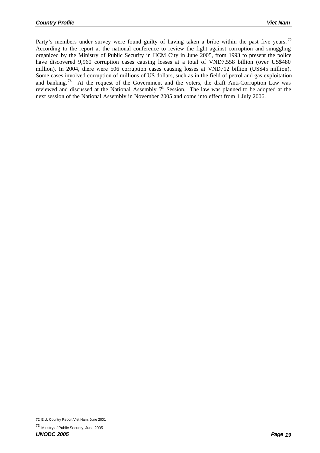Party's members under survey were found guilty of having taken a bribe within the past five years.<sup>72</sup> According to the report at the national conference to review the fight against corruption and smuggling organized by the Ministry of Public Security in HCM City in June 2005, from 1993 to present the police have discovered 9,960 corruption cases causing losses at a total of VND7,558 billion (over US\$480 million). In 2004, there were 506 corruption cases causing losses at VND712 billion (US\$45 million). Some cases involved corruption of millions of US dollars, such as in the field of petrol and gas exploitation and banking.<sup>73</sup> At the request of the Government and the voters, the draft Anti-Corruption Law was reviewed and discussed at the National Assembly 7<sup>h</sup> Session. The law was planned to be adopted at the next session of the National Assembly in November 2005 and come into effect from 1 July 2006.

 72 EIU, Country Report Viet Nam, June 2001

<sup>73</sup> Minstry of Public Security, June 2005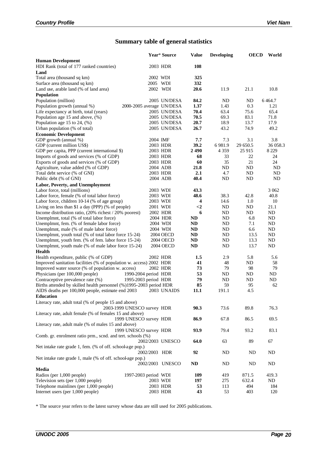# **Summary table of general statistics**

|                                                                     |               | Year* Source              | <b>Value</b> | <b>Developing</b> | <b>OECD</b> | World     |
|---------------------------------------------------------------------|---------------|---------------------------|--------------|-------------------|-------------|-----------|
| <b>Human Development</b>                                            |               |                           |              |                   |             |           |
| HDI Rank (total of 177 ranked countries)                            | 2003 HDR      |                           | 108          |                   |             |           |
| Land                                                                |               |                           |              |                   |             |           |
| Total area (thousand sq km)                                         | 2002 WDI      |                           | 325          |                   |             |           |
| Surface area (thousand sq km)                                       | 2005 WDI      |                           | 332          |                   |             |           |
| Land use, arable land (% of land area)                              | 2002 WDI      |                           | 20.6         | 11.9              | 21.1        | 10.8      |
| Population                                                          |               |                           |              |                   |             |           |
| Population (million)                                                |               | 2005 UN/DESA              | 84.2         | ND                | ND          | 6 4 6 4.7 |
| Population growth (annual %)                                        |               | 2000-2005 average UN/DESA | 1.37         | 1.43              | 0.3         | 1.21      |
| Life expectancy at birth, total (years)                             |               | 2005 UN/DESA              | 70.4         | 63.4              | 75.6        | 65.4      |
| Population age $15$ and above, $(\%)$                               |               | 2005 UN/DESA              | 70.5         | 69.3              | 83.1        | 71.8      |
| Population age 15 to 24, $(\%)$                                     |               | 2005 UN/DESA              | 20.7         | 18.9              | 13.7        | 17.9      |
| Urban population (% of total)                                       |               | 2005 UN/DESA              | 26.7         | 43.2              | 74.9        | 49.2      |
| <b>Economic Development</b>                                         |               |                           |              |                   |             |           |
| GDP growth (annual %)                                               | 2004 IMF      |                           | 7.7          | 7.3               | 3.1         | 3.8       |
| GDP (current million US\$)                                          | 2003 HDR      |                           | 39.2         | 6981.9            | 29 650.5    | 36 058.3  |
| GDP per capita, PPP (current international \$)                      | 2003 HDR      |                           | 2 4 9 0      | 4 3 5 9           | 25 915      | 8 2 2 9   |
| Imports of goods and services (% of GDP)                            | 2003 HDR      |                           | 68           | 33                | 22          | 24        |
| Exports of goods and services (% of GDP)                            | 2003 HDR      |                           | 60           | 35                | 21          | 24        |
| Agriculture, value added (% of GDP)                                 | 2004 ADB      |                           | 21.8         | ND                | ND          | ND        |
| Total debt service (% of GNI)                                       | 2003 HDR      |                           | 2.1          | 4.7               | ND          | ND.       |
| Public debt (% of GNI)                                              |               | 2004 ADB                  | 40.4         | <b>ND</b>         | ND          | ND        |
| Labor, Poverty, and Unemployment                                    |               |                           |              |                   |             |           |
| Labor force, total (millions)                                       | 2003 WDI      |                           | 43.3         |                   |             | 3 0 6 2   |
| Labor force, female (% of total labor force)                        | 2003 WDI      |                           | 48.6         | 38.3              | 42.8        | 40.8      |
| Labor force, children 10-14 (% of age group)                        | 2003 WDI      |                           | 4            | 14.6              | 1.0         | 10        |
| Living on less than \$1 a day (PPP) (% of people)                   | 2001 WDI      |                           | $<$ 2        | ND                | ND          | 21.1      |
| Income distribution ratio, (20% richest / 20% poorest)              |               | 2002 HDR                  | 6            | ND                | ND          | ND        |
| Unemplmnt, total (% of total labor force)                           |               | 2004 HDR                  | ND           | ND                | 6.8         | ND        |
| Unemplmnt, fem. (% of female labor force)                           |               | 2004 WDI                  | ND           | ND                | 7.1         | ND        |
| Unemplmnt, male (% of male labor force)                             |               | 2004 WDI                  | <b>ND</b>    | ND                | 6.6         | ND        |
| Unemplmnt, youth total (% of total labor force 15-24)               |               | 2004 OECD                 | <b>ND</b>    | ND                | 13.5        | ND        |
| Unemplmnt, youth fem. (% of fem. labor force 15-24)                 |               | <b>2004 OECD</b>          | ND           | ND                | 13.3        | ND        |
| Unemplmnt, youth male (% of male labor force 15-24)                 |               | 2004 OECD                 | ND           | <b>ND</b>         | 13.7        | ND        |
| <b>Health</b>                                                       |               |                           |              |                   |             |           |
| Health expenditure, public (% of GDP)                               | 2002 HDR      |                           | 1.5          | 2.9               | 5.8         | 5.6       |
| Improved sanitation facilities (% of population w. access) 2002 HDR |               |                           | 41           | 48                | ND          | 58        |
| Improved water source (% of population w. access)                   | 2002 HDR      |                           | 73           | 79                | 98          | 79        |
| 1990-2004 period HDR<br>Physicians (per 100,000 people)             |               |                           | 53           | <b>ND</b>         | <b>ND</b>   | ND        |
| Contraceptive prevalence rate (%)<br>1995-2003 period HDR           |               |                           | 79           | <b>ND</b>         | <b>ND</b>   | ND        |
| Births attended by skilled health personnel (%)1995-2003 period HDR |               |                           | 85           | 59                | 95          | 62        |
| AIDS deaths per 100,000 people, estimate end 2003                   |               | 2003 UNAIDS               | 11.1         | 191.1             | 4.5         |           |
| Education                                                           |               |                           |              |                   |             |           |
|                                                                     |               |                           |              |                   |             |           |
| Literacy rate, adult total (% of people 15 and above)               |               |                           | 90.3         | 73.6              | 89.8        |           |
| 2003-1999 UNESCO survey HDR                                         |               |                           |              |                   |             | 76.3      |
| Literacy rate, adult female (% of females 15 and above)             |               |                           |              |                   |             |           |
| 1999 UNESCO survey HDR                                              |               |                           | 86.9         | 67.8              | 86.5        | 69.5      |
| Literacy rate, adult male (% of males 15 and above)                 |               |                           |              |                   |             |           |
| 1999 UNESCO survey HDR                                              |               |                           | 93.9         | 79.4              | 93.2        | 83.1      |
| Comb. gr. enrolment ratio prm., scnd. and tert. schools (%)         |               |                           |              |                   |             |           |
|                                                                     |               | 2002/2003 UNESCO          | 64.0         | 63                | 89          | 67        |
| Net intake rate grade 1, fem. (% of off. school-age pop.)           |               |                           |              |                   |             |           |
|                                                                     | 2002/2003 HDR |                           | 92           | <b>ND</b>         | ND          | ND.       |
| Net intake rate grade 1, male (% of off. schoolage pop.)            |               |                           |              |                   |             |           |
|                                                                     |               | 2002/2003 UNESCO          | $\bf ND$     | ND                | ND          | ND        |
| Media                                                               |               |                           |              |                   |             |           |
| Radios (per 1,000 people)<br>1997-2003 period WDI                   |               |                           | 109          | 419               | 871.5       | 419.3     |
| Television sets (per 1,000 people)                                  | 2003 WDI      |                           | 197          | 275               | 632.4       | ND        |
| Telephone mainlines (per 1,000 people)                              | 2003 HDR      |                           | 53           | 113               | 494         | 184       |
| Internet users (per 1,000 people)                                   |               | 2003 HDR                  | 43           | 53                | 403         | 120       |

\* The source year refers to the latest survey whose data are still used for 2005 publications.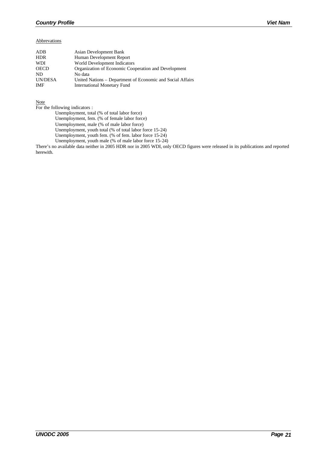#### Abbrevations

| ADB            | Asian Development Bank                                     |
|----------------|------------------------------------------------------------|
| <b>HDR</b>     | Human Development Report                                   |
| <b>WDI</b>     | World Development Indicators                               |
| <b>OECD</b>    | Organization of Economic Cooperation and Development       |
| ND.            | No data                                                    |
| <b>UN/DESA</b> | United Nations – Department of Economic and Social Affairs |
| <b>IMF</b>     | <b>International Monetary Fund</b>                         |

Note

For the following indicators :

Unemployment, total (% of total labor force)

Unemployment, fem. (% of female labor force)

Unemployment, male (% of male labor force)

Unemployment, youth total (% of total labor force 15-24)

Unemployment, youth fem. (% of fem. labor force 15-24)

Unemployment, youth male (% of male labor force 15-24)

There's no available data neither in 2005 HDR nor in 2005 WDI, only OECD figures were released in its publications and reported herewith.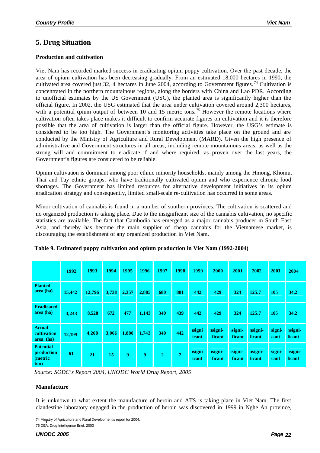## **5. Drug Situation**

## **Production and cultivation**

Viet Nam has recorded marked success in eradicating opium poppy cultivation. Over the past decade, the area of opium cultivation has been decreasing gradually. From an estimated 18,000 hectares in 1990, the cultivated area covered just 32, 4 hectares in June 2004, according to Government figures.<sup>74</sup> Cultivation is concentrated in the northern mountainous regions, along the borders with China and Lao PDR. According to unofficial estimates by the US Government (USG), the planted area is significantly higher than the official figure. In 2002, the USG estimated that the area under cultivation covered around 2,300 hectares, with a potential opium output of between 10 and 15 metric tons.<sup>75</sup> However the remote locations where cultivation often takes place makes it difficult to confirm accurate figures on cultivation and it is therefore possible that the area of cultivation is larger than the official figure. However, the USG's estimate is considered to be too high. The Government's monitoring activities take place on the ground and are conducted by the Ministry of Agriculture and Rural Development (MARD). Given the high presence of administrative and Government structures in all areas, including remote mountainous areas, as well as the strong will and commitment to eradicate if and where required, as proven over the last years, the Government's figures are considered to be reliable.

Opium cultivation is dominant among poor ethnic minority households, mainly among the Hmong, Khomu, Thai and Tay ethnic groups, who have traditionally cultivated opium and who experience chronic food shortages. The Government has limited resources for alternative development initiatives in its opium eradication strategy and consequently, limited small-scale re-cultivation has occurred in some areas.

Minor cultivation of cannabis is found in a number of southern provinces. The cultivation is scattered and no organized production is taking place. Due to the insignificant size of the cannabis cultivation, no specific statistics are available. The fact that Cambodia has emerged as a major cannabis producer in South East Asia, and thereby has become the main supplier of cheap cannabis for the Vietnamese market, is discouraging the establishment of any organized production in Viet Nam.

|                                                   | 1992   | 1993   | 1994  | 1995  | 1996  | 1997           | 1998           | 1999                           | 2000              | 2001             | 2002              | 2003           | 2004              |
|---------------------------------------------------|--------|--------|-------|-------|-------|----------------|----------------|--------------------------------|-------------------|------------------|-------------------|----------------|-------------------|
| <b>Planted</b><br>area (ha)                       | 15,442 | 12,796 | 3,738 | 2,357 | 2,885 | 680            | 881            | 442                            | 429               | 324              | 125.7             | 105            | 34.2              |
| <b>Eradicated</b><br>area (ha)                    | 3,243  | 8,528  | 672   | 477   | 1,143 | 340            | 439            | 442                            | 429               | 324              | 125.7             | 105            | 34.2              |
| <b>Actual</b><br>cultivation<br>area (ha)         | 12,199 | 4,268  | 3,066 | 1,880 | 1,743 | 340            | 442            | <i>signi</i><br><b>ficant</b>  | nsigni-<br>ficant | signi-<br>ficant | asigni-<br>ficant | signi<br>cant  | nsigni-<br>ficant |
| <b>Potential</b><br>production<br>(metric<br>ton) | 61     | 21     | 15    | 9     | 9     | $\overline{2}$ | $\overline{2}$ | <b>isigni</b><br><b>ficant</b> | nsigni-<br>ficant | signi-<br>ficant | asigni-<br>ficant | signi-<br>cant | nsigni-<br>ficant |

|  |  |  | Table 9. Estimated poppy cultivation and opium production in Viet Nam (1992-2004) |  |  |
|--|--|--|-----------------------------------------------------------------------------------|--|--|
|  |  |  |                                                                                   |  |  |

*Source: SODC's Report 2004, UNODC World Drug Report, 2005*

## **Manufacture**

It is unknown to what extent the manufacture of heroin and ATS is taking place in Viet Nam. The first clandestine laboratory engaged in the production of heroin was discovered in 1999 in Nghe An province,

l 74 Min<sub>i</sub>stry of Agriculture and Rural Development's report for 2004.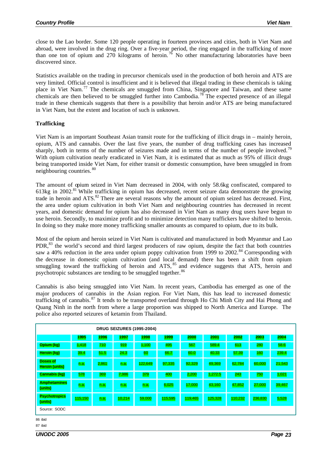close to the Lao border. Some 120 people operating in fourteen provinces and cities, both in Viet Nam and abroad, were involved in the drug ring. Over a five-year period, the ring engaged in the trafficking of more than one ton of opium and 270 kilograms of heroin.<sup>76</sup> No other manufacturing laboratories have been discovered since.

Statistics available on the trading in precursor chemicals used in the production of both heroin and ATS are very limited. Official control is insufficient and it is believed that illegal trading in these chemicals is taking place in Viet Nam.<sup>77</sup> The chemicals are smuggled from China, Singapore and Taiwan, and these same chemicals are then believed to be smuggled further into Cambodia.<sup>78</sup> The expected presence of an illegal trade in these chemicals suggests that there is a possibility that heroin and/or ATS are being manufactured in Viet Nam, but the extent and location of such is unknown.

## **Trafficking**

Viet Nam is an important Southeast Asian transit route for the trafficking of illicit drugs in – mainly heroin, opium, ATS and cannabis. Over the last five years, the number of drug trafficking cases has increased sharply, both in terms of the number of seizures made and in terms of the number of people involved.<sup>79</sup> With opium cultivation nearly eradicated in Viet Nam, it is estimated that as much as 95% of illicit drugs being transported inside Viet Nam, for either transit or domestic consumption, have been smuggled in from neighbouring countries. <sup>80</sup>

The amount of opium seized in Viet Nam decreased in 2004, with only 58.6kg confiscated, compared to 613kg in 2002.<sup>81</sup> While trafficking in opium has decreased, recent seizure data demonstrate the growing trade in heroin and ATS.<sup>82</sup> There are several reasons why the amount of opium seized has decreased. First, the area under opium cultivation in both Viet Nam and neighbouring countries has decreased in recent years, and domestic demand for opium has also decreased in Viet Nam as many drug users have begun to use heroin. Secondly, to maximize profit and to minimize detection many traffickers have shifted to heroin. In doing so they make more money trafficking smaller amounts as compared to opium, due to its bulk.

Most of the opium and heroin seized in Viet Nam is cultivated and manufactured in both Myanmar and Lao PDR,<sup>83</sup> the world's second and third largest producers of raw opium, despite the fact that both countries saw a 40% reduction in the area under opium poppy cultivation from 1999 to 2002.<sup>84</sup> Corresponding with the decrease in domestic opium cultivation (and local demand) there has been a shift from opium smuggling toward the trafficking of heroin and ATS, <sup>85</sup> and evidence suggests that ATS, heroin and psychotropic substances are tending to be smuggled together.<sup>86</sup>

Cannabis is also being smuggled into Viet Nam. In recent years, Cambodia has emerged as one of the major producers of cannabis in the Asian region. For Viet Nam, this has lead to increased domestic trafficking of cannabis. <sup>87</sup> It tends to be transported overland through Ho Chi Minh City and Hai Phong and Quang Ninh in the north from where a large proportion was shipped to North America and Europe. The police also reported seizures of ketamin from Thailand.

| <b>DRUG SEIZURES (1995-2004)</b>         |         |       |        |         |         |         |         |         |         |        |
|------------------------------------------|---------|-------|--------|---------|---------|---------|---------|---------|---------|--------|
|                                          | 1995    | 1996  | 1997   | 1998    | 1999    | 2000    | 2001    | 2002    | 2003    | 2004   |
| Opium (kg)                               | 1,418   | 710   | 919    | 1,100   | 495     | 567     | 589.4   | 613     | 280     | 58.6   |
| Heroin (kg)                              | 39.4    | 51.5  | 24.3   | 60      | 66.7    | 60.0    | 40.33   | 57.39   | 160     | 239.4  |
| <b>Doses of</b><br><b>Heroin (units)</b> | n.a.    | 2,861 | n.a.   | 122,649 | 97,335  | 92,329  | 49,369  | 62,784  | 60,000  | 21,543 |
| <b>Cannabis (kg)</b>                     | 578     | 369   | 7,986  | 379     | 400     | 2,200   | 1,272.5 | 243     | 750     | 1,021  |
| <b>Amphetamines</b><br>(units)           | n.a.    | n.a.  | n.a.   | n.a.    | 6,025   | 17,000  | 43,160  | 47,852  | 27,000  | 39,467 |
| <b>Psychotropics</b><br>(units)          | 115,150 | n.a.  | 10,214 | 59,000  | 115,595 | 119,465 | 125,328 | 110,232 | 236,830 | 5,528  |
| Source: SODC                             |         |       |        |         |         |         |         |         |         |        |
| 86 ibid                                  |         |       |        |         |         |         |         |         |         |        |

87 ibid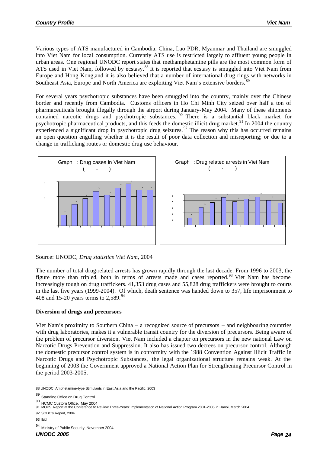Various types of ATS manufactured in Cambodia, China, Lao PDR, Myanmar and Thailand are smuggled into Viet Nam for local consumption. Currently ATS use is restricted largely to affluent young people in urban areas. One regional UNODC report states that methamphetamine pills are the most common form of ATS used in Viet Nam, followed by ecstasy.<sup>88</sup> It is reported that ecstasy is smuggled into Viet Nam from Europe and Hong Kong,and it is also believed that a number of international drug rings with networks in Southeast Asia, Europe and North America are exploiting Viet Nam's extensive borders.<sup>89</sup>

For several years psychotropic substances have been smuggled into the country, mainly over the Chinese border and recently from Cambodia. Customs officers in Ho Chi Minh City seized over half a ton of pharmaceuticals brought illegally through the airport during January-May 2004. Many of these shipments contained narcotic drugs and psychotropic substances.<sup>90</sup> There is a substantial black market for psychotropic pharmaceutical products, and this feeds the domestic illicit drug market.<sup>91</sup> In 2004 the country experienced a significant drop in psychotropic drug seizures.  $92$  The reason why this has occurred remains an open question engulfing whether it is the result of poor data collection and misreporting; or due to a change in trafficking routes or domestic drug use behaviour.



Source: UNODC, *Drug statistics Viet Nam*, 2004

The number of total drug-related arrests has grown rapidly through the last decade. From 1996 to 2003, the figure more than tripled, both in terms of arrests made and cases reported.<sup>93</sup> Viet Nam has become increasingly tough on drug traffickers. 41,353 drug cases and 55,828 drug traffickers were brought to courts in the last five years (1999-2004). Of which, death sentence was handed down to 357, life imprisonment to 408 and 15-20 years terms to  $2,589.^{94}$ 

## **Diversion of drugs and precursors**

Viet Nam's proximity to Southern China – a recognized source of precursors – and neighbouring countries with drug laboratories, makes it a vulnerable transit country for the diversion of precursors. Being aware of the problem of precursor diversion, Viet Nam included a chapter on precursors in the new national Law on Narcotic Drugs Prevention and Suppression. It also has issued two decrees on precursor control. Although the domestic precursor control system is in conformity with the 1988 Convention Against Illicit Traffic in Narcotic Drugs and Psychotropic Substances, the legal organizational structure remains weak. At the beginning of 2003 the Government approved a National Action Plan for Strengthening Precursor Control in the period 2003-2005.

93 Ibid

<sup>94</sup> Ministry of Public Security, November 2004

 88 UNODC, Amphetamine-type Stimulants in East Asia and the Pacific, 2003

<sup>89</sup> Standing Office on Drug Control 90 HCMC Custom Office, May 2004

<sup>91</sup> MOPS Report at the Conference to Review Three-Years' Implementation of National Action Program 2001-2005 in Hanoi, March 2004

<sup>92</sup> SODC's Report, 2004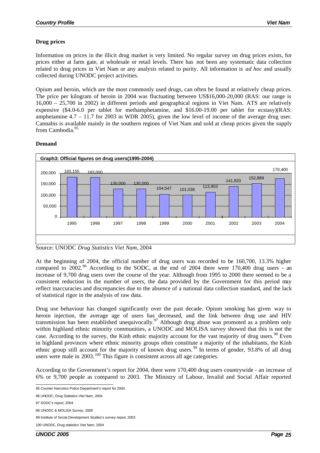## **Drug prices**

Information on prices in the illicit drug market is very limited. No regular survey on drug prices exists, for prices either at farm gate, at wholesale or retail levels. There has not been any systematic data collection related to drug prices in Viet Nam or any analysis related to purity. All information is *ad hoc* and usually collected during UNODC project activities.

Opium and heroin, which are the most commonly used drugs, can often be found at relatively cheap prices. The price per kilogram of heroin in 2004 was fluctuating between US\$16,000-20,000 (RAS: our range is 16,000 – 25,700 in 2002) in different periods and geographical regions in Viet Nam. ATS are relatively expensive (\$4.0-6.0 per tablet for methamphetamine, and \$16.00-19.00 per tablet for ecstasy)(RAS: amphetamine 4.7 – 11.7 for 2003 in WDR 2005), given the low level of income of the average drug user. Cannabis is available mainly in the southern regions of Viet Nam and sold at cheap prices given the supply from Cambodia.<sup>95</sup>

## **Demand**



Source: UNODC *Drug Statistics Viet Nam*, 2004

At the beginning of 2004, the official number of drug users was recorded to be 160,700, 13.3% higher compared to  $2002<sup>96</sup>$  According to the SODC, at the end of  $2004$  there were  $170,400$  drug users - an increase of 9,700 drug users over the course of the year. Although from 1995 to 2000 there seemed to be a consistent reduction in the number of users, the data provided by the Government for this period may reflect inaccuracies and discrepancies due to the absence of a national data collection standard, and the lack of statistical rigor in the analysis of raw data.

Drug use behaviour has changed significantly over the past decade. Opium smoking has given way to heroin injection, the average age of users has decreased, and the link between drug use and HIV transmission has been established unequivocally.<sup>97</sup> Although drug abuse was promoted as a problem only within highland ethnic minority communities, a UNODC and MOLISA survey showed that this is not the case. According to the survey, the Kinh ethnic majority account for the vast majority of drug users.<sup>98</sup> Even in highland provinces where ethnic minority groups often constitute a majority of the inhabitants, the Kinh ethnic group still account for the majority of known drug users.<sup>99</sup> In terms of gender, 93.8% of all drug users were male in 2003.<sup>100</sup> This figure is consistent across all age categories.

According to the Government's report for 2004, there were 170,400 drug users countrywide - an increase of 6% or 9,700 people as compared to 2003. The Ministry of Labour, Invalid and Social Affair reported

 95 Counter Narcotics Police Department's report for 2004.

<sup>96</sup> UNODC, Drug Statistics Viet Nam, 2004

<sup>97</sup> SODC's report, 2004

<sup>98</sup> UNODC & MOLISA Survey, 2000

<sup>99</sup> Institute of Social Development Studies's survey report, 2003

<sup>100</sup> UNODC, Drug statistics Viet Nam, 2004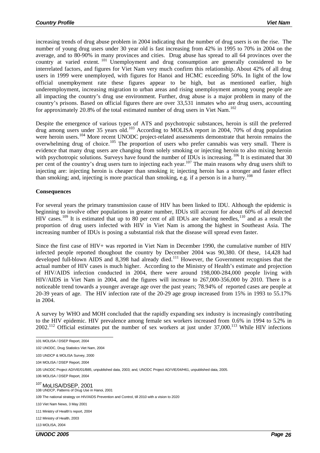increasing trends of drug abuse problem in 2004 indicating that the number of drug users is on the rise. The number of young drug users under 30 year old is fast increasing from 42% in 1995 to 70% in 2004 on the average, and to 80-90% in many provinces and cities. Drug abuse has spread to all 64 provinces over the country at varied extent. <sup>101</sup> Unemployment and drug consumption are generally considered to be interrelated factors, and figures for Viet Nam very much confirm this relationship. About 42% of all drug users in 1999 were unemployed, with figures for Hanoi and HCMC exceeding 50%. In light of the low official unemployment rate these figures appear to be high, but as mentioned earlier, high underemployment, increasing migration to urban areas and rising unemployment among young people are all impacting the country's drug use environment. Further, drug abuse is a major problem in many of the country's prisons. Based on official figures there are over 33,531 inmates who are drug users, accounting for approximately 20.8% of the total estimated number of drug users in Viet Nam.<sup>102</sup>

Despite the emergence of various types of ATS and psychotropic substances, heroin is still the preferred drug among users under 35 years old.<sup>103</sup> According to MOLISA report in 2004, 70% of drug population were heroin users.<sup>104</sup> More recent UNODC project-related assessments demonstrate that heroin remains the overwhelming drug of choice.<sup>105</sup> The proportion of users who prefer cannabis was very small. There is evidence that many drug users are changing from solely smoking or injecting heroin to also mixing heroin with psychotropic solutions. Surveys have found the number of IDUs is increasing.<sup>106</sup> It is estimated that 30 per cent of the country's drug users turn to injecting each year.<sup>107</sup> The main reasons why drug users shift to injecting are: injecting heroin is cheaper than smoking it; injecting heroin has a stronger and faster effect than smoking; and, injecting is more practical than smoking, e.g. if a person is in a hurry.<sup>108</sup>

#### **Consequences**

For several years the primary transmission cause of HIV has been linked to IDU. Although the epidemic is beginning to involve other populations in greater number, IDUs still account for about 60% of all detected HIV cases.<sup>109</sup> It is estimated that up to 80 per cent of all IDUs are sharing needles,<sup>110</sup> and as a result the proportion of drug users infected with HIV in Viet Nam is among the highest in Southeast Asia. The increasing number of IDUs is posing a substantial risk that the disease will spread even faster.

Since the first case of HIV+ was reported in Viet Nam in December 1990, the cumulative number of HIV infected people reported thoughout the country by December 2004 was 90,380. Of these, 14,428 had developed full-blown AIDS and 8,398 had already died.<sup>111</sup> However, the Government recognises that the actual number of HIV cases is much higher. According to the Ministry of Health's estimate and projection of HIV/AIDS infection conducted in 2004, there were around 198,000-284,000 people living with HIV/AIDS in Viet Nam in 2004, and the figures will increase to 267,000-356,000 by 2010. There is a noticeable trend towards a younger average age over the past years; 78.94% of reported cases are people at 20-39 years of age. The HIV infection rate of the 20-29 age group increased from 15% in 1993 to 55.17% in 2004.

A survey by WHO and MOH concluded that the rapidly expanding sex industry is increasingly contributing to the HIV epidemic. HIV prevalence among female sex workers increased from 0.6% in 1994 to 5.2% in 2002.<sup>112</sup> Official estimates put the number of sex workers at just under 37,000.<sup>113</sup> While HIV infections

106 MOLISA / DSEP Report, 2004

<sup>107</sup> MoLISA/DSEP, 2001

108 UNDCP, Patterns of Drug Use in Hanoi, 2001

109 The national strategy on HIV/AIDS Prevention and Control, till 2010 with a vision to 2020

110 Viet Nam News, 3 May 2001

111 Ministry of Health's report, 2004

112 Ministry of Health, 2003

113 MOLISA, 2004

*UNODC 2005 Page 26*

 101 MOLISA / DSEP Report, 2004

<sup>102</sup> UNODC, Drug Statistics Viet Nam, 2004

<sup>103</sup> UNDCP & MOLISA Survey, 2000

<sup>104</sup> MOLISA / DSEP Report, 2004

<sup>105</sup> UNODC Project AD/VIE/01/B85, unpublished data, 2003; and, UNODC Project AD/VIE/04/H61, unpublished data, 2005.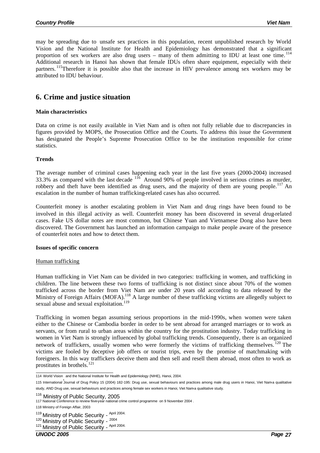may be spreading due to unsafe sex practices in this population, recent unpublished research by World Vision and the National Institute for Health and Epidemiology has demonstrated that a significant proportion of sex workers are also drug users – many of them admitting to IDU at least one time.  $^{114}$ Additional research in Hanoi has shown that female IDUs often share equipment, especially with their partners. <sup>115</sup>Therefore it is possible also that the increase in HIV prevalence among sex workers may be attributed to IDU behaviour.

## **6. Crime and justice situation**

### **Main characteristics**

Data on crime is not easily available in Viet Nam and is often not fully reliable due to discrepancies in figures provided by MOPS, the Prosecution Office and the Courts. To address this issue the Government has designated the People's Supreme Prosecution Office to be the institution responsible for crime statistics.

#### **Trends**

The average number of criminal cases happening each year in the last five years (2000-2004) increased 33.3% as compared with the last decade  $116$  Around 90% of people involved in serious crimes as murder, robbery and theft have been identified as drug users, and the majority of them are young people.<sup>117</sup> An escalation in the number of human trafficking-related cases has also occurred.

Counterfeit money is another escalating problem in Viet Nam and drug rings have been found to be involved in this illegal activity as well. Counterfeit money has been discovered in several drug-related cases. Fake US dollar notes are most common, but Chinese Yuan and Vietnamese Dong also have been discovered. The Government has launched an information campaign to make people aware of the presence of counterfeit notes and how to detect them.

#### **Issues of specific concern**

#### Human trafficking

Human trafficking in Viet Nam can be divided in two categories: trafficking in women, and trafficking in children. The line between these two forms of trafficking is not distinct since about 70% of the women trafficked across the border from Viet Nam are under 20 years old according to data released by the Ministry of Foreign Affairs (MOFA).<sup>118</sup> A large number of these trafficking victims are allegedly subject to sexual abuse and sexual exploitation.<sup>119</sup>

Trafficking in women began assuming serious proportions in the mid-1990s, when women were taken either to the Chinese or Cambodia border in order to be sent abroad for arranged marriages or to work as servants, or from rural to urban areas within the country for the prostitution industry. Today trafficking in women in Viet Nam is strongly influenced by global trafficking trends. Consequently, there is an organized network of traffickers, usually women who were formerly the victims of trafficking themselves. <sup>120</sup> The victims are fooled by deceptive job offers or tourist trips, even by the promise of matchmaking with foreigners. In this way traffickers deceive them and then sell and resell them abroad, most often to work as prostitutes in brothels.<sup>121</sup>

 114 World Vision , and the National Institute for Health and Epidemiology (NIHE), Hanoi, 2004.

<sup>115</sup> International Journal of Drug Policy 15 (2004) 182-195: Drug use, sexual behaviours and practices among male drug users in Hanoi, Viet Nam-a qualitative study, AND Drug use, sexual behaviours and practices among female sex workers in Hanoi, Viet Nam-a qualitative study.

<sup>116</sup> Ministry of Public Security, 2005

<sup>117</sup> National Conference to review fiive-year national crime control programme on 9 November 2004.

<sup>118</sup> Ministry of Foreign Affair, 2003

<sup>&</sup>lt;sup>119</sup> Ministry of Public Security - <sup>April 2004.</sup>

<sup>&</sup>lt;sup>120</sup> Ministry of Public Security - 2004

<sup>&</sup>lt;sup>121</sup> Ministry of Public Security - April 2004.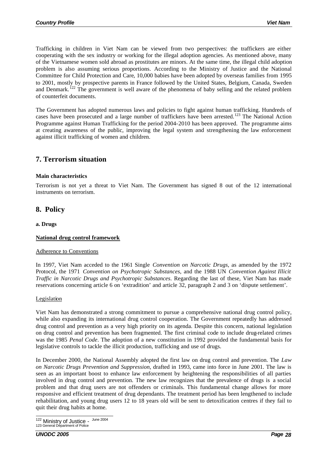Trafficking in children in Viet Nam can be viewed from two perspectives: the traffickers are either cooperating with the sex industry or working for the illegal adoption agencies. As mentioned above, many of the Vietnamese women sold abroad as prostitutes are minors. At the same time, the illegal child adoption problem is also assuming serious proportions. According to the Ministry of Justice and the National Committee for Child Protection and Care, 10,000 babies have been adopted by overseas families from 1995 to 2001, mostly by prospective parents in France followed by the United States, Belgium, Canada, Sweden and Denmark.<sup>122</sup> The government is well aware of the phenomena of baby selling and the related problem of counterfeit documents.

The Government has adopted numerous laws and policies to fight against human trafficking. Hundreds of cases have been prosecuted and a large number of traffickers have been arrested.<sup>123</sup> The National Action Programme against Human Trafficking for the period 2004-2010 has been approved. The programme aims at creating awareness of the public, improving the legal system and strengthening the law enforcement against illicit trafficking of women and children.

## **7. Terrorism situation**

#### **Main characteristics**

Terrorism is not yet a threat to Viet Nam. The Government has signed 8 out of the 12 international instruments on terrorism.

## **8. Policy**

#### **a. Drugs**

## **National drug control framework**

#### Adherence to Conventions

In 1997, Viet Nam acceded to the 1961 Single *Convention on Narcotic Drugs*, as amended by the 1972 Protocol, the 1971 *Convention on Psychotropic Substances*, and the 1988 UN *Convention Against Illicit Traffic in Narcotic Drugs and Psychotropic Substances*. Regarding the last of these, Viet Nam has made reservations concerning article 6 on 'extradition' and article 32, paragraph 2 and 3 on 'dispute settlement'.

## Legislation

Viet Nam has demonstrated a strong commitment to pursue a comprehensive national drug control policy, while also expanding its international drug control cooperation. The Government repeatedly has addressed drug control and prevention as a very high priority on its agenda. Despite this concern, national legislation on drug control and prevention has been fragmented. The first criminal code to include drug-related crimes was the 1985 *Penal Code*. The adoption of a new constitution in 1992 provided the fundamental basis for legislative controls to tackle the illicit production, trafficking and use of drugs.

In December 2000, the National Assembly adopted the first law on drug control and prevention. The *Law on Narcotic Drugs Prevention and Suppression*, drafted in 1993, came into force in June 2001. The law is seen as an important boost to enhance law enforcement by heightening the responsibilities of all parties involved in drug control and prevention. The new law recognizes that the prevalence of drugs is a social problem and that drug users are not offenders or criminals. This fundamental change allows for more responsive and efficient treatment of drug dependants. The treatment period has been lengthened to include rehabilitation, and young drug users 12 to 18 years old will be sent to detoxification centres if they fail to quit their drug habits at home.

l <sup>122</sup> Ministry of Justice - June 2004 123 General Department of Police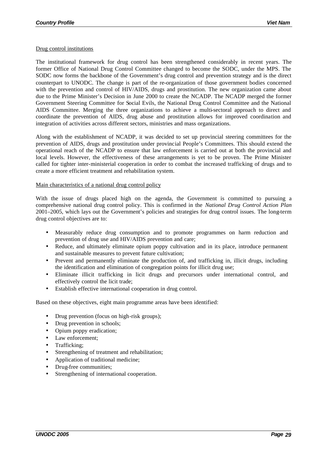### Drug control institutions

The institutional framework for drug control has been strengthened considerably in recent years. The former Office of National Drug Control Committee changed to become the SODC, under the MPS. The SODC now forms the backbone of the Government's drug control and prevention strategy and is the direct counterpart to UNODC. The change is part of the re-organization of those government bodies concerned with the prevention and control of HIV/AIDS, drugs and prostitution. The new organization came about due to the Prime Minister's Decision in June 2000 to create the NCADP. The NCADP merged the former Government Steering Committee for Social Evils, the National Drug Control Committee and the National AIDS Committee. Merging the three organizations to achieve a multi-sectoral approach to direct and coordinate the prevention of AIDS, drug abuse and prostitution allows for improved coordination and integration of activities across different sectors, ministries and mass organizations.

Along with the establishment of NCADP, it was decided to set up provincial steering committees for the prevention of AIDS, drugs and prostitution under provincial People's Committees. This should extend the operational reach of the NCADP to ensure that law enforcement is carried out at both the provincial and local levels. However, the effectiveness of these arrangements is yet to be proven. The Prime Minister called for tighter inter-ministerial cooperation in order to combat the increased trafficking of drugs and to create a more efficient treatment and rehabilitation system.

#### Main characteristics of a national drug control policy

With the issue of drugs placed high on the agenda, the Government is committed to pursuing a comprehensive national drug control policy. This is confirmed in the *National Drug Control Action Plan* 2001–2005, which lays out the Government's policies and strategies for drug control issues. The long-term drug control objectives are to:

- Measurably reduce drug consumption and to promote programmes on harm reduction and prevention of drug use and HIV/AIDS prevention and care;
- Reduce, and ultimately eliminate opium poppy cultivation and in its place, introduce permanent and sustainable measures to prevent future cultivation;
- Prevent and permanently eliminate the production of, and trafficking in, illicit drugs, including the identification and elimination of congregation points for illicit drug use;
- Eliminate illicit trafficking in licit drugs and precursors under international control, and effectively control the licit trade;
- Establish effective international cooperation in drug control.

Based on these objectives, eight main programme areas have been identified:

- Drug prevention (focus on high-risk groups);
- Drug prevention in schools;
- Opium poppy eradication;
- Law enforcement;
- Trafficking;
- Strengthening of treatment and rehabilitation;
- Application of traditional medicine;
- Drug-free communities;
- Strengthening of international cooperation.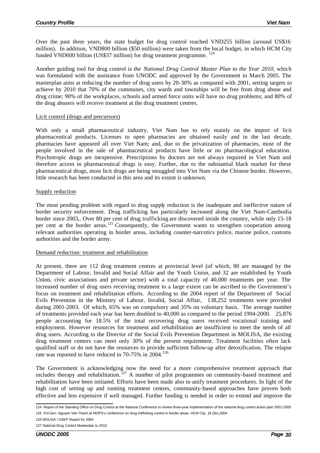Over the past three years, the state budget for drug control reached VND255 billion (around US\$16 million). In addition, VND800 billion (\$50 million) were taken from the local budget, in which HCM City funded VND600 billion (US\$37 million) for drug treatment programme.  $^{124}$ 

Another guiding tool for drug control is the *National Drug Control Master Plan to the Year 2010*, which was formulated with the assistance from UNODC and approved by the Government in March 2005. The masterplan aims at reducing the number of drug users by 20-30% as compared with 2001, setting targets to achieve by 2010 that 70% of the communes, city wards and townships will be free from drug abuse and drug crime; 90% of the workplaces, schools and armed force units will have no drug problems; and 80% of the drug abusers will receive treatment at the drug treatment centres.

### Licit control (drugs and precursors)

With only a small pharmaceutical industry, Viet Nam has to rely mainly on the import of licit pharmaceutical products. Licenses to open pharmacies are obtained easily and in the last decade, pharmacies have appeared all over Viet Nam; and, due to the privatization of pharmacies, most of the people involved in the sale of pharmaceutical products have little or no pharmacological education. Psychotropic drugs are inexpensive. Prescriptions by doctors are not always required in Viet Nam and therefore access to pharmaceutical drugs is easy. Further, due to the substantial black market for these pharmaceutical drugs, most licit drugs are being smuggled into Viet Nam via the Chinese border. However, little research has been conducted in this area and its extent is unknown.

#### Supply reduction

The most pending problem with regard to drug supply reduction is the inadequate and ineffective nature of border security enforcement. Drug trafficking has particularly increased along the Viet Nam-Cambodia border since 2003,. Over 80 per cent of drug trafficking are discovered inside the country, while only 15-18 per cent at the border areas.<sup>125</sup> Consequently, the Government wants to strengthen cooperation among relevant authorities operating in border areas, including counter-narcotics police, marine police, customs authorities and the border army.

#### Demand reduction: treatment and rehabilitation

At present, there are 112 drug treatment centres at provincial level (of which, 80 are managed by the Department of Labour, Invalid and Social Affair and the Youth Union, and 32 are established by Youth Union, civic associations and private sector) with a total capacity of 40,000 treatments per year. The increased number of drug users receiving treatment to a large extent can be ascribed to the Government's focus on treatment and rehabilitation efforts. According to the 2004 report of the Department of Social Evils Prevention in the Ministry of Labour, Invalid, Social Affair, 138,252 treatments were provided during 2001-2003. Of which, 65% was on compulsory and 35% on voluntary basis. The average number of treatments provided each year has been doubled to 40,000 as compared to the period 1994-2000. 25,876 people accounting for 18.5% of the total recovering drug users received vocational training and employment. However resources for treatment and rehabilitation are insufficient to meet the needs of all drug users. According to the Director of the Social Evils Prevention Department in MOLISA, the existing drug treatment centers can meet only 30% of the present requirement. Treatment facilities often lack qualified staff or do not have the resources to provide sufficient follow-up after detoxification. The relapse rate was reported to have reduced to 70-75% in 2004.<sup>126</sup>

The Government is acknowledging now the need for a more comprehensive treatment approach that includes therapy and rehabilitation.<sup>127</sup> A number of pilot programmes on community-based treatment and rehabilitation have been initiated. Efforts have been made also to unify treatment procedures. In light of the high cost of setting up and running treatment centres, community-based approaches have proven both effective and less expensive if well managed. Further funding is needed in order to extend and improve the

 124 Report of the Standing Office on Drug Control at the National Conference to review three-year implementation of the national drug control action plan 2001-2005 125 Pol.Gen. Nguyen Viet Thanh at MOPS's conference on drug trafficking control in border areas, HCM City, 16 Dec.2004

<sup>126</sup> MOLISA / DSEP Report for 2004

<sup>127</sup> National Drug Control Masterplan to 2010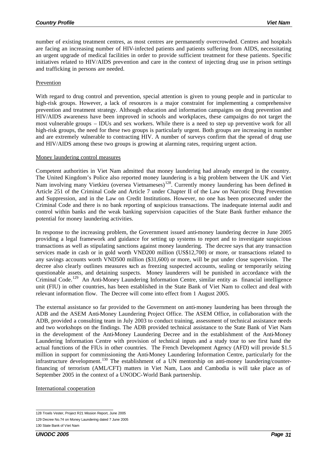number of existing treatment centres, as most centres are permanently overcrowded. Centres and hospitals are facing an increasing number of HIV-infected patients and patients suffering from AIDS, necessitating an urgent upgrade of medical facilities in order to provide sufficient treatment for these patients. Specific initiatives related to HIV/AIDS prevention and care in the context of injecting drug use in prison settings and trafficking in persons are needed.

### Prevention

With regard to drug control and prevention, special attention is given to young people and in particular to high-risk groups. However, a lack of resources is a major constraint for implementing a comprehensive prevention and treatment strategy. Although education and information campaigns on drug prevention and HIV/AIDS awareness have been improved in schools and workplaces, these campaigns do not target the most vulnerable groups – IDUs and sex workers. While there is a need to step up preventive work for all high-risk groups, the need for these two groups is particularly urgent. Both groups are increasing in number and are extremely vulnerable to contracting HIV. A number of surveys confirm that the spread of drug use and HIV/AIDS among these two groups is growing at alarming rates, requiring urgent action.

#### Money laundering control measures

Competent authorities in Viet Nam admitted that money laundering had already emerged in the country. The United Kingdom's Police also reported money laundering is a big problem between the UK and Viet Nam involving many Vietkieu (oversea Vietnameses)<sup>128</sup>. Currently money laundering has been defined in Article 251 of the Criminal Code and Article 7 under Chapter II of the Law on Narcotic Drug Prevention and Suppression, and in the Law on Credit Institutions. However, no one has been prosecuted under the Criminal Code and there is no bank reporting of suspicious transactions. The inadequate internal audit and control within banks and the weak banking supervision capacities of the State Bank further enhance the potential for money laundering activities.

In response to the increasing problem, the Government issued anti-money laundering decree in June 2005 providing a legal framework and guidance for setting up systems to report and to investigate suspicious transactions as well as stipulating sanctions against money laundering. The decree says that any transaction services made in cash or in gold worth VND200 million (US\$12,700) or more, or transactions related to any savings accounts worth VND500 million (\$31,600) or more, will be put under close supervision. The decree also clearly outlines measures such as freezing suspected accounts, sealing or temporarily seizing questionable assets, and detaining suspects. Money launderers will be punished in accordance with the Criminal Code.<sup>129</sup> An Anti-Money Laundering Information Centre, similar entity as financial intelligence unit (FIU) in other countries, has been established in the State Bank of Viet Nam to collect and deal with relevant information flow. The Decree will come into effect from 1 August 2005.

The external assistance so far provided to the Government on anti-money laundering has been through the ADB and the ASEM Anti-Money Laundering Project Office. The ASEM Office, in collaboration with the ADB, provided a consulting team in July 2003 to conduct training, assessment of technical assistance needs and two workshops on the findings. The ADB provided technical assistance to the State Bank of Viet Nam in the development of the Anti-Money Laundering Decree and in the establishment of the Anti-Money Laundering Information Centre with provision of technical inputs and a study tour to see first hand the actual functions of the FIUs in other countries. The French Development Agency (AFD) will provide \$1.5 million in support for commissioning the Anti-Money Laundering Information Centre, particularly for the infrastructure development.<sup>130</sup> The establishment of a UN mentorship on anti-money laundering/counterfinancing of terrorism (AML/CFT) matters in Viet Nam, Laos and Cambodia is will take place as of September 2005 in the context of a UNODC-World Bank partnership.

International cooperation

 128 Troels Vester, Project R21 Mission Report, June 2005

<sup>129</sup> Decree No.74 on Money Laundering dated 7 June 2005

<sup>130</sup> State Bank of Viet Nam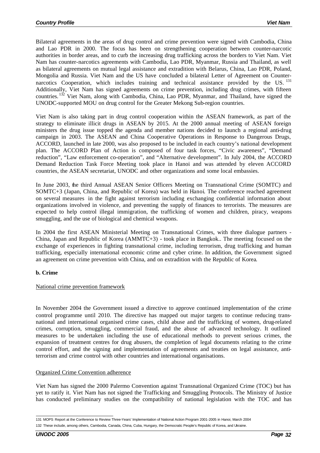Bilateral agreements in the areas of drug control and crime prevention were signed with Cambodia, China and Lao PDR in 2000. The focus has been on strengthening cooperation between counter-narcotic authorities in border areas, and to curb the increasing drug trafficking across the borders to Viet Nam. Viet Nam has counter-narcotics agreements with Cambodia, Lao PDR, Myanmar, Russia and Thailand, as well as bilateral agreements on mutual legal assistance and extradition with Belarus, China, Lao PDR, Poland, Mongolia and Russia. Viet Nam and the US have concluded a bilateral Letter of Agreement on Counternarcotics Cooperation, which includes training and technical assistance provided by the US.  $^{131}$ Additionally, Viet Nam has signed agreements on crime prevention, including drug crimes, with fifteen countries. <sup>132</sup> Viet Nam, along with Cambodia, China, Lao PDR, Myanmar, and Thailand, have signed the UNODC-supported MOU on drug control for the Greater Mekong Sub-region countries.

Viet Nam is also taking part in drug control cooperation within the ASEAN framework, as part of the strategy to eliminate illicit drugs in ASEAN by 2015. At the 2000 annual meeting of ASEAN foreign ministers the drug issue topped the agenda and member nations decided to launch a regional anti-drug campaign in 2003. The ASEAN and China Cooperative Operations in Response to Dangerous Drugs, ACCORD, launched in late 2000, was also proposed to be included in each country's national development plan. The ACCORD Plan of Action is composed of four task forces, "Civic awareness", "Demand reduction", "Law enforcement co-operation", and "Alternative development". In July 2004, the ACCORD Demand Reduction Task Force Meeting took place in Hanoi and was attended by eleven ACCORD countries, the ASEAN secretariat, UNODC and other organizations and some local embassies.

In June 2003, the third Annual ASEAN Senior Officers Meeting on Transnational Crime (SOMTC) and SOMTC+3 (Japan, China, and Republic of Korea) was held in Hanoi. The conference reached agreement on several measures in the fight against terrorism including exchanging confidential information about organizations involved in violence, and preventing the supply of finances to terrorists. The measures are expected to help control illegal immigration, the trafficking of women and children, piracy, weapons smuggling, and the use of biological and chemical weapons.

In 2004 the first ASEAN Ministerial Meeting on Transnational Crimes, with three dialogue partners - China, Japan and Republic of Korea (AMMTC+3) - took place in Bangkok.. The meeting focused on the exchange of experiences in fighting transnational crime, including terrorism, drug trafficking and human trafficking, especially international economic crime and cyber crime. In addition, the Government signed an agreement on crime prevention with China, and on extradition with the Republic of Korea.

## **b. Crime**

#### National crime prevention framework

In November 2004 the Government issued a directive to approve continued implementation of the crime control programme until 2010. The directive has mapped out major targets to continue reducing transnational and international organised crime cases, child abuse and the trafficking of women, drug-related crimes, corruption, smuggling, commercial fraud, and the abuse of advanced technology. It outlined measures to be undertaken including the use of educational methods to prevent serious crimes, the expansion of treatment centres for drug abusers, the completion of legal documents relating to the crime control effort, and the signing and implementation of agreements and treaties on legal assistance, antiterrorism and crime control with other countries and international organisations.

#### Organized Crime Convention adherence

Viet Nam has signed the 2000 Palermo Convention against Transnational Organized Crime (TOC) but has yet to ratify it. Viet Nam has not signed the Trafficking and Smuggling Protocols. The Ministry of Justice has conducted preliminary studies on the compatibility of national legislation with the TOC and has

 131 MOPS Report at the Conference to Review Three-Years' Implementation of National Action Program 2001-2005 in Hanoi, March 2004 132 These include, among others, Cambodia, Canada, China, Cuba, Hungary, the Democratic People's Republic of Korea, and Ukraine.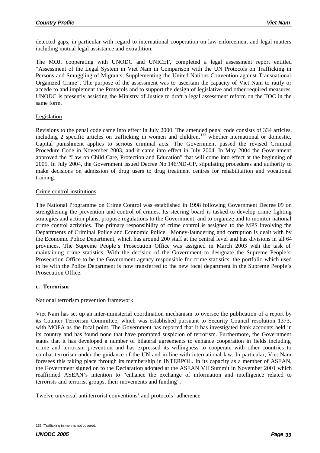detected gaps, in particular with regard to international cooperation on law enforcement and legal matters including mutual legal assistance and extradition.

The MOJ, cooperating with UNODC and UNICEF, completed a legal assessment report entitled "Assessment of the Legal System in Viet Nam in Comparison with the UN Protocols on Trafficking in Persons and Smuggling of Migrants, Supplementing the United Nations Convention against Transnational Organized Crime". The purpose of the assessment was to ascertain the capacity of Viet Nam to ratify or accede to and implement the Protocols and to support the design of legislative and other required measures. UNODC is presently assisting the Ministry of Justice to draft a legal assessment reform on the TOC in the same form.

## Legislation

Revisions to the penal code came into effect in July 2000. The amended penal code consists of 334 articles, including 2 specific articles on trafficking in women and children, $133$  whether international or domestic. Capital punishment applies to serious criminal acts. The Government passed the revised Criminal Procedure Code in November 2003, and it came into effect in July 2004. In May 2004 the Government approved the "Law on Child Care, Protection and Education" that will come into effect at the beginning of 2005. In July 2004, the Government issued Decree No.146/ND-CP, stipulating procedures and authority to make decisions on admission of drug users to drug treatment centres for rehabilitation and vocational training.

#### Crime control institutions

The National Programme on Crime Control was established in 1998 following Government Decree 09 on strengthening the prevention and control of crimes. Its steering board is tasked to develop crime fighting strategies and action plans, propose regulations to the Government, and to organize and to monitor national crime control activities. The primary responsibility of crime control is assigned to the MPS involving the Departments of Criminal Police and Economic Police. Money-laundering and corruption is dealt with by the Economic Police Department, which has around 200 staff at the central level and has divisions in all 64 provinces. The Supreme People's Prosecution Office was assigned in March 2003 with the task of maintaining crime statistics. With the decision of the Government to designate the Supreme People's Prosecution Office to be the Government agency responsible for crime statistics, the portfolio which used to be with the Police Department is now transferred to the new focal department in the Supreme People's Prosecution Office.

## **c. Terrorism**

#### National terrorism prevention framework

Viet Nam has set up an inter-ministerial coordination mechanism to oversee the publication of a report by its Counter Terrorism Committee, which was established pursuant to Security Council resolution 1373, with MOFA as the focal point. The Government has reported that it has investigated bank accounts held in its country and has found none that have prompted suspicion of terrorism. Furthermore, the Government states that it has developed a number of bilateral agreements to enhance cooperation in fields including crime and terrorism prevention and has expressed its willingness to cooperate with other countries to combat terrorism under the guidance of the UN and in line with international law. In particular, Viet Nam foresees this taking place through its membership in INTERPOL. In its capacity as a member of ASEAN, the Government signed on to the Declaration adopted at the ASEAN VII Summit in November 2001 which reaffirmed ASEAN's intention to "enhance the exchange of information and intelligence related to terrorists and terrorist groups, their movements and funding".

Twelve universal anti-terrorist conventions' and protocols' adherence

 133 'Trafficking in men' is not covered.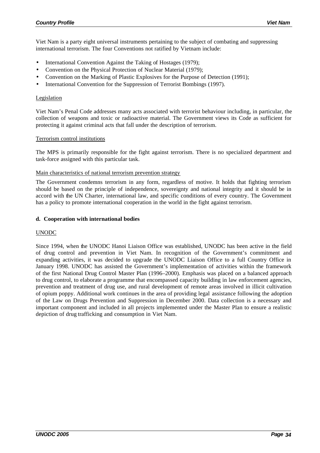Viet Nam is a party eight universal instruments pertaining to the subject of combating and suppressing international terrorism. The four Conventions not ratified by Vietnam include:

- International Convention Against the Taking of Hostages (1979);
- Convention on the Physical Protection of Nuclear Material (1979);
- Convention on the Marking of Plastic Explosives for the Purpose of Detection (1991);
- International Convention for the Suppression of Terrorist Bombings (1997).

### Legislation

Viet Nam's Penal Code addresses many acts associated with terrorist behaviour including, in particular, the collection of weapons and toxic or radioactive material. The Government views its Code as sufficient for protecting it against criminal acts that fall under the description of terrorism.

#### Terrorism control institutions

The MPS is primarily responsible for the fight against terrorism. There is no specialized department and task-force assigned with this particular task.

#### Main characteristics of national terrorism prevention strategy

The Government condemns terrorism in any form, regardless of motive. It holds that fighting terrorism should be based on the principle of independence, sovereignty and national integrity and it should be in accord with the UN Charter, international law, and specific conditions of every country. The Government has a policy to promote international cooperation in the world in the fight against terrorism.

#### **d. Cooperation with international bodies**

#### UNODC

Since 1994, when the UNODC Hanoi Liaison Office was established, UNODC has been active in the field of drug control and prevention in Viet Nam. In recognition of the Government's commitment and expanding activities, it was decided to upgrade the UNODC Liaison Office to a full Country Office in January 1998. UNODC has assisted the Government's implementation of activities within the framework of the first National Drug Control Master Plan (1996–2000). Emphasis was placed on a balanced approach to drug control, to elaborate a programme that encompassed capacity building in law enforcement agencies, prevention and treatment of drug use, and rural development of remote areas involved in illicit cultivation of opium poppy. Additional work continues in the area of providing legal assistance following the adoption of the Law on Drugs Prevention and Suppression in December 2000. Data collection is a necessary and important component and included in all projects implemented under the Master Plan to ensure a realistic depiction of drug trafficking and consumption in Viet Nam.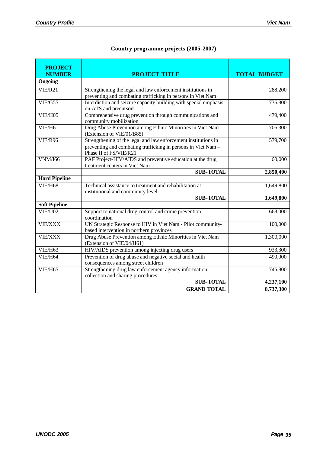| <b>PROJECT</b><br><b>NUMBER</b> | <b>PROJECT TITLE</b>                                                                                                                                      | <b>TOTAL BUDGET</b> |
|---------------------------------|-----------------------------------------------------------------------------------------------------------------------------------------------------------|---------------------|
| Ongoing                         |                                                                                                                                                           |                     |
| VIE/R21                         | Strengthening the legal and law enforcement institutions in<br>preventing and combating trafficking in persons in Viet Nam                                | 288,200             |
| VIE/G55                         | Interdiction and seizure capacity building with special emphasis<br>on ATS and precursors                                                                 | 736,800             |
| <b>VIE/H05</b>                  | Comprehensive drug prevention through communications and<br>community mobilization                                                                        | 479,400             |
| VIE/H61                         | Drug Abuse Prevention among Ethnic Minorities in Viet Nam<br>(Extension of VIE/01/B85)                                                                    | 706,300             |
| <b>VIE/R96</b>                  | Strengthening of the legal and law enforcement institutions in<br>preventing and combating trafficking in persons in Viet Nam -<br>Phase II of FS/VIE/R21 | 579,700             |
| <b>VNM/I66</b>                  | PAF Project-HIV/AIDS and preventive education at the drug<br>treatment centers in Viet Nam                                                                | 60,000              |
|                                 | <b>SUB-TOTAL</b>                                                                                                                                          | 2,850,400           |
| <b>Hard Pipeline</b>            |                                                                                                                                                           |                     |
| <b>VIE/H68</b>                  | Technical assistance to treatment and rehabilitation at<br>institutional and community level                                                              | 1,649,800           |
|                                 | <b>SUB-TOTAL</b>                                                                                                                                          | 1,649,800           |
| <b>Soft Pipeline</b>            |                                                                                                                                                           |                     |
| VIE/U02                         | Support to national drug control and crime prevention<br>coordination                                                                                     | 668,000             |
| <b>VIE/XXX</b>                  | UN Strategic Response to HIV in Viet Nam - Pilot community-<br>based intervention in northern provinces                                                   | 100,000             |
| <b>VIE/XXX</b>                  | Drug Abuse Prevention among Ethnic Minorities in Viet Nam<br>(Extension of VIE/04/H61)                                                                    | 1,300,000           |
| VIE/H63                         | HIV/AIDS prevention among injecting drug users                                                                                                            | 933,300             |
| <b>VIE/H64</b>                  | Prevention of drug abuse and negative social and health<br>consequences among street children                                                             | 490,000             |
| <b>VIE/H65</b>                  | Strengthening drug law enforcement agency information<br>collection and sharing procedures                                                                | 745,800             |
|                                 | <b>SUB-TOTAL</b>                                                                                                                                          | 4,237,100           |
|                                 | <b>GRAND TOTAL</b>                                                                                                                                        | 8,737,300           |

## **Country programme projects (2005-2007)**